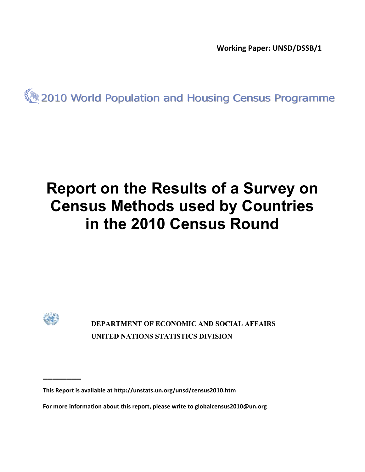**Working Paper: UNSD/DSSB/1** 

2010 World Population and Housing Census Programme

# **Report on the Results of a Survey on Census Methods used by Countries in the 2010 Census Round**



**\_\_\_\_\_\_\_\_** 

 **DEPARTMENT OF ECONOMIC AND SOCIAL AFFAIRS UNITED NATIONS STATISTICS DIVISION** 

**This Report is available at http://unstats.un.org/unsd/census2010.htm**

**For more information about this report, please write to globalcensus2010@un.org**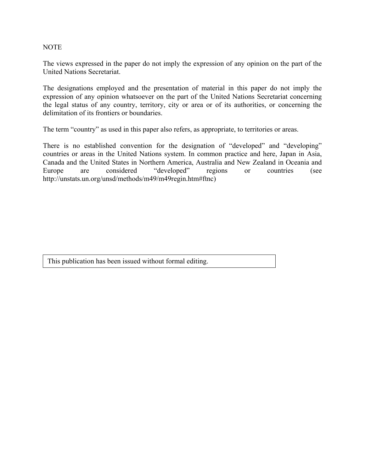#### NOTE

The views expressed in the paper do not imply the expression of any opinion on the part of the United Nations Secretariat.

The designations employed and the presentation of material in this paper do not imply the expression of any opinion whatsoever on the part of the United Nations Secretariat concerning the legal status of any country, territory, city or area or of its authorities, or concerning the delimitation of its frontiers or boundaries.

The term "country" as used in this paper also refers, as appropriate, to territories or areas.

There is no established convention for the designation of "developed" and "developing" countries or areas in the United Nations system. In common practice and here, Japan in Asia, Canada and the United States in Northern America, Australia and New Zealand in Oceania and Europe are considered "developed" regions or countries (see http://unstats.un.org/unsd/methods/m49/m49regin.htm#ftnc)

This publication has been issued without formal editing.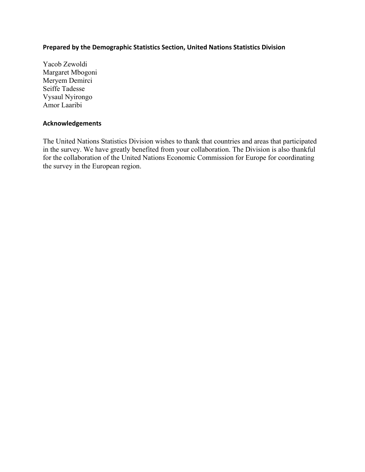## **Prepared by the Demographic Statistics Section, United Nations Statistics Division**

Yacob Zewoldi Margaret Mbogoni Meryem Demirci Seiffe Tadesse Vysaul Nyirongo Amor Laaribi

#### **Acknowledgements**

The United Nations Statistics Division wishes to thank that countries and areas that participated in the survey. We have greatly benefited from your collaboration. The Division is also thankful for the collaboration of the United Nations Economic Commission for Europe for coordinating the survey in the European region.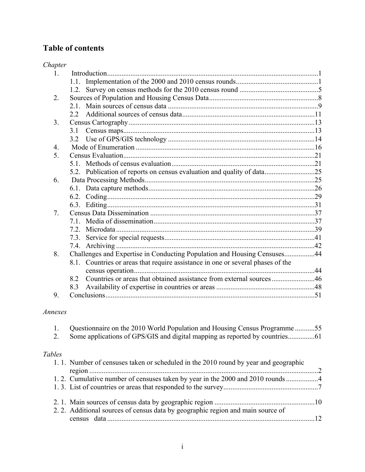# **Table of contents**

| Chapter          |                                                                                 |  |
|------------------|---------------------------------------------------------------------------------|--|
| 1.               |                                                                                 |  |
|                  |                                                                                 |  |
|                  |                                                                                 |  |
| 2.               |                                                                                 |  |
|                  |                                                                                 |  |
|                  |                                                                                 |  |
| 3 <sub>1</sub>   |                                                                                 |  |
|                  | 3.1                                                                             |  |
|                  |                                                                                 |  |
| $\overline{4}$ . |                                                                                 |  |
| 5 <sub>1</sub>   |                                                                                 |  |
|                  |                                                                                 |  |
|                  | 5.2. Publication of reports on census evaluation and quality of data25          |  |
| 6.               |                                                                                 |  |
|                  |                                                                                 |  |
|                  |                                                                                 |  |
|                  |                                                                                 |  |
| 7 <sub>1</sub>   |                                                                                 |  |
|                  |                                                                                 |  |
|                  |                                                                                 |  |
|                  |                                                                                 |  |
|                  |                                                                                 |  |
| 8.               | Challenges and Expertise in Conducting Population and Housing Censuses44        |  |
|                  | 8.1. Countries or areas that require assistance in one or several phases of the |  |
|                  |                                                                                 |  |
|                  | Countries or areas that obtained assistance from external sources46<br>8.2      |  |
|                  | 8.3                                                                             |  |
| 9.               |                                                                                 |  |

# *Annexes*

|        | Questionnaire on the 2010 World Population and Housing Census Programme55            |    |
|--------|--------------------------------------------------------------------------------------|----|
| 2.     |                                                                                      |    |
| Tables |                                                                                      |    |
|        |                                                                                      |    |
|        | 1. 1. Number of censuses taken or scheduled in the 2010 round by year and geographic |    |
|        |                                                                                      |    |
|        |                                                                                      |    |
|        |                                                                                      |    |
|        |                                                                                      |    |
|        |                                                                                      |    |
|        | 2.2. Additional sources of census data by geographic region and main source of       |    |
|        |                                                                                      |    |
|        |                                                                                      | 12 |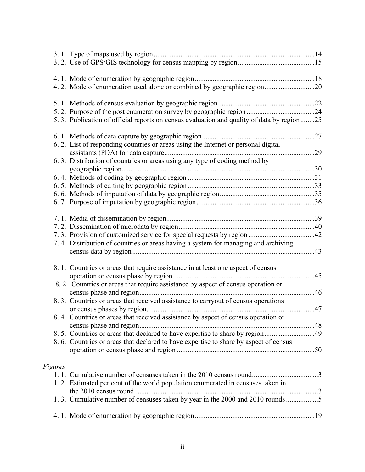|         | 4.2. Mode of enumeration used alone or combined by geographic region20                    |  |
|---------|-------------------------------------------------------------------------------------------|--|
|         |                                                                                           |  |
|         |                                                                                           |  |
|         | 5.3. Publication of official reports on census evaluation and quality of data by region25 |  |
|         |                                                                                           |  |
|         | 6.2. List of responding countries or areas using the Internet or personal digital         |  |
|         |                                                                                           |  |
|         | 6. 3. Distribution of countries or areas using any type of coding method by               |  |
|         |                                                                                           |  |
|         |                                                                                           |  |
|         |                                                                                           |  |
|         |                                                                                           |  |
|         |                                                                                           |  |
|         |                                                                                           |  |
|         |                                                                                           |  |
|         |                                                                                           |  |
|         | 7.4. Distribution of countries or areas having a system for managing and archiving        |  |
|         |                                                                                           |  |
|         | 8. 1. Countries or areas that require assistance in at least one aspect of census         |  |
|         |                                                                                           |  |
|         | 8. 2. Countries or areas that require assistance by aspect of census operation or         |  |
|         |                                                                                           |  |
|         | 8.3. Countries or areas that received assistance to carryout of census operations         |  |
|         |                                                                                           |  |
|         | 8.4. Countries or areas that received assistance by aspect of census operation or         |  |
|         |                                                                                           |  |
|         | 8.5. Countries or areas that declared to have expertise to share by region 49             |  |
|         | 8.6. Countries or areas that declared to have expertise to share by aspect of census      |  |
|         |                                                                                           |  |
| Figures |                                                                                           |  |
|         |                                                                                           |  |
|         | 1.2. Estimated per cent of the world population enumerated in censuses taken in           |  |
|         |                                                                                           |  |
|         | 1.3. Cumulative number of censuses taken by year in the 2000 and 2010 rounds 5            |  |
|         |                                                                                           |  |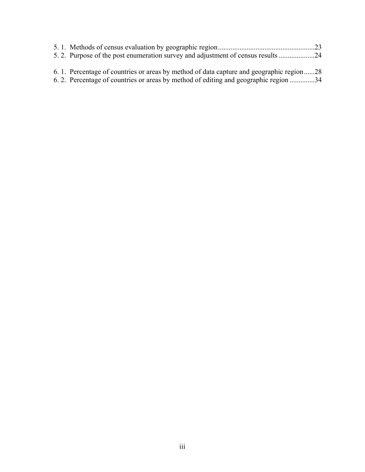| 6.1. Percentage of countries or areas by method of data capture and geographic region28 |  |
|-----------------------------------------------------------------------------------------|--|

6. 2. Percentage of countries or areas by method of editing and geographic region ..............34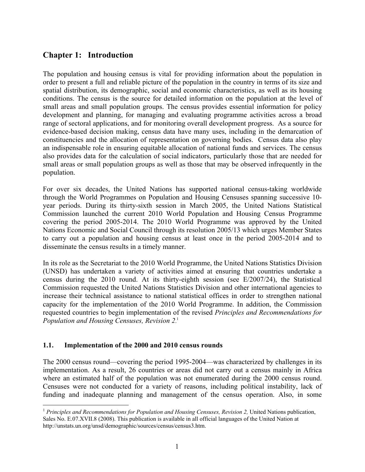# **Chapter 1: Introduction**

The population and housing census is vital for providing information about the population in order to present a full and reliable picture of the population in the country in terms of its size and spatial distribution, its demographic, social and economic characteristics, as well as its housing conditions. The census is the source for detailed information on the population at the level of small areas and small population groups. The census provides essential information for policy development and planning, for managing and evaluating programme activities across a broad range of sectoral applications, and for monitoring overall development progress. As a source for evidence-based decision making, census data have many uses, including in the demarcation of constituencies and the allocation of representation on governing bodies. Census data also play an indispensable role in ensuring equitable allocation of national funds and services. The census also provides data for the calculation of social indicators, particularly those that are needed for small areas or small population groups as well as those that may be observed infrequently in the population.

For over six decades, the United Nations has supported national census-taking worldwide through the World Programmes on Population and Housing Censuses spanning successive 10 year periods. During its thirty-sixth session in March 2005, the United Nations Statistical Commission launched the current 2010 World Population and Housing Census Programme covering the period 2005-2014. The 2010 World Programme was approved by the United Nations Economic and Social Council through its resolution 2005/13 which urges Member States to carry out a population and housing census at least once in the period 2005-2014 and to disseminate the census results in a timely manner.

In its role as the Secretariat to the 2010 World Programme, the United Nations Statistics Division (UNSD) has undertaken a variety of activities aimed at ensuring that countries undertake a census during the 2010 round. At its thirty-eighth session (see E/2007/24), the Statistical Commission requested the United Nations Statistics Division and other international agencies to increase their technical assistance to national statistical offices in order to strengthen national capacity for the implementation of the 2010 World Programme. In addition, the Commission requested countries to begin implementation of the revised *Principles and Recommendations for Population and Housing Censuses, Revision 2*. 1

## **1.1. Implementation of the 2000 and 2010 census rounds**

 $\overline{a}$ 

The 2000 census round—covering the period 1995-2004—was characterized by challenges in its implementation. As a result, 26 countries or areas did not carry out a census mainly in Africa where an estimated half of the population was not enumerated during the 2000 census round. Censuses were not conducted for a variety of reasons, including political instability, lack of funding and inadequate planning and management of the census operation. Also, in some

<sup>&</sup>lt;sup>1</sup> Principles and Recommendations for Population and Housing Censuses, Revision 2, United Nations publication, Sales No. E.07.XVII.8 (2008). This publication is available in all official languages of the United Nation at http://unstats.un.org/unsd/demographic/sources/census/census3.htm.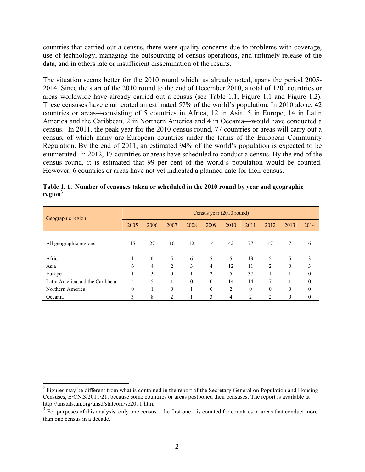countries that carried out a census, there were quality concerns due to problems with coverage, use of technology, managing the outsourcing of census operations, and untimely release of the data, and in others late or insufficient dissemination of the results.

The situation seems better for the 2010 round which, as already noted, spans the period 2005- 2014. Since the start of the 2010 round to the end of December 2010, a total of  $120^2$  countries or areas worldwide have already carried out a census (see Table 1.1, Figure 1.1 and Figure 1.2). These censuses have enumerated an estimated 57% of the world's population. In 2010 alone, 42 countries or areas—consisting of 5 countries in Africa, 12 in Asia, 5 in Europe, 14 in Latin America and the Caribbean, 2 in Northern America and 4 in Oceania—would have conducted a census. In 2011, the peak year for the 2010 census round, 77 countries or areas will carry out a census, of which many are European countries under the terms of the European Community Regulation. By the end of 2011, an estimated 94% of the world's population is expected to be enumerated. In 2012, 17 countries or areas have scheduled to conduct a census. By the end of the census round, it is estimated that 99 per cent of the world's population would be counted. However, 6 countries or areas have not yet indicated a planned date for their census.

| Geographic region               | Census year (2010 round) |      |          |          |                |                |                  |                |              |                |  |  |
|---------------------------------|--------------------------|------|----------|----------|----------------|----------------|------------------|----------------|--------------|----------------|--|--|
|                                 | 2005                     | 2006 | 2007     | 2008     | 2009           | 2010           | 2011             | 2012           | 2013         | 2014           |  |  |
| All geographic regions          | 15                       | 27   | 10       | 12       | 14             | 42             | 77               | 17             | 7            | 6              |  |  |
| Africa                          |                          | 6    | 5        | 6        | 5              | 5              | 13               | 5              | 5            | 3              |  |  |
| Asia                            | 6                        | 4    | 2        | 3        | 4              | 12             | 11               | $\mathfrak{D}$ | $\theta$     | 3              |  |  |
| Europe                          |                          | 3    | $\theta$ |          | $\overline{2}$ | 5              | 37               |                |              | $\theta$       |  |  |
| Latin America and the Caribbean | 4                        | 5    |          | $\theta$ | $\Omega$       | 14             | 14               | $\tau$         |              | $\overline{0}$ |  |  |
| Northern America                | $\mathbf{0}$             |      | $\theta$ | 1        | $\theta$       | 2              | $\boldsymbol{0}$ | $\theta$       | $\theta$     | $\theta$       |  |  |
| Oceania                         | 3                        | 8    | 2        | 1        | 3              | $\overline{4}$ | 2                | $\overline{c}$ | $\mathbf{0}$ | $\mathbf{0}$   |  |  |

|                     | Table 1.1. Number of censuses taken or scheduled in the 2010 round by year and geographic |
|---------------------|-------------------------------------------------------------------------------------------|
| region <sup>3</sup> |                                                                                           |

 $2$  Figures may be different from what is contained in the report of the Secretary General on Population and Housing Censuses, E/CN.3/2011/21, because some countries or areas postponed their censuses. The report is available at http://unstats.un.org/unsd/statcom/sc2011.htm.

 $3 \text{ For purposes of this analysis, only one census – the first one – is counted for countries or areas that conduct more$ than one census in a decade.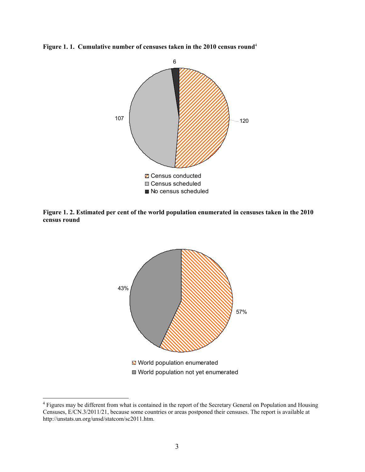**Figure 1. 1. Cumulative number of censuses taken in the 2010 census round**<sup>4</sup>



**Figure 1. 2. Estimated per cent of the world population enumerated in censuses taken in the 2010 census round** 



<sup>&</sup>lt;sup>4</sup> Figures may be different from what is contained in the report of the Secretary General on Population and Housing Censuses, E/CN.3/2011/21, because some countries or areas postponed their censuses. The report is available at http://unstats.un.org/unsd/statcom/sc2011.htm.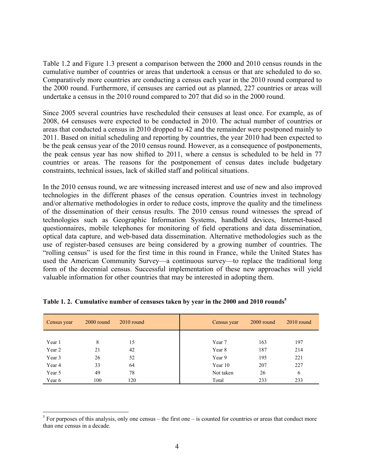Table 1.2 and Figure 1.3 present a comparison between the 2000 and 2010 census rounds in the cumulative number of countries or areas that undertook a census or that are scheduled to do so. Comparatively more countries are conducting a census each year in the 2010 round compared to the 2000 round. Furthermore, if censuses are carried out as planned, 227 countries or areas will undertake a census in the 2010 round compared to 207 that did so in the 2000 round.

Since 2005 several countries have rescheduled their censuses at least once. For example, as of 2008, 64 censuses were expected to be conducted in 2010. The actual number of countries or areas that conducted a census in 2010 dropped to 42 and the remainder were postponed mainly to 2011. Based on initial scheduling and reporting by countries, the year 2010 had been expected to be the peak census year of the 2010 census round. However, as a consequence of postponements, the peak census year has now shifted to 2011, where a census is scheduled to be held in 77 countries or areas. The reasons for the postponement of census dates include budgetary constraints, technical issues, lack of skilled staff and political situations.

In the 2010 census round, we are witnessing increased interest and use of new and also improved technologies in the different phases of the census operation. Countries invest in technology and/or alternative methodologies in order to reduce costs, improve the quality and the timeliness of the dissemination of their census results. The 2010 census round witnesses the spread of technologies such as Geographic Information Systems, handheld devices, Internet-based questionnaires, mobile telephones for monitoring of field operations and data dissemination, optical data capture, and web-based data dissemination. Alternative methodologies such as the use of register-based censuses are being considered by a growing number of countries. The "rolling census" is used for the first time in this round in France, while the United States has used the American Community Survey—a continuous survey—to replace the traditional long form of the decennial census. Successful implementation of these new approaches will yield valuable information for other countries that may be interested in adopting them.

| Census year | 2000 round | $2010$ round | Census year | $2000$ round | $2010$ round |
|-------------|------------|--------------|-------------|--------------|--------------|
|             |            |              |             |              |              |
| Year 1      | 8          | 15           | Year 7      | 163          | 197          |
| Year 2      | 21         | 42           | Year 8      | 187          | 214          |
| Year 3      | 26         | 52           | Year 9      | 195          | 221          |
| Year 4      | 33         | 64           | Year 10     | 207          | 227          |
| Year 5      | 49         | 78           | Not taken   | 26           | 6            |
| Year 6      | 100        | 120          | Total       | 233          | 233          |

**Table 1. 2. Cumulative number of censuses taken by year in the 2000 and 2010 rounds<sup>5</sup>**

 $<sup>5</sup>$  For purposes of this analysis, only one census – the first one – is counted for countries or areas that conduct more</sup> than one census in a decade.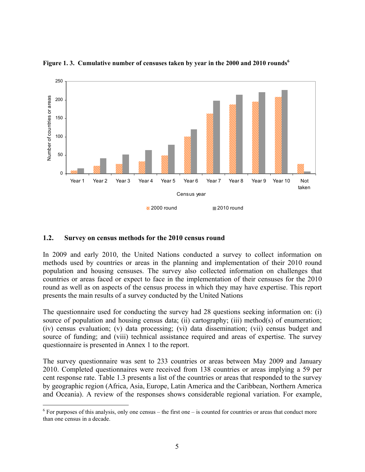

**Figure 1. 3. Cumulative number of censuses taken by year in the 2000 and 2010 rounds<sup>6</sup>**

#### **1.2. Survey on census methods for the 2010 census round**

1

In 2009 and early 2010, the United Nations conducted a survey to collect information on methods used by countries or areas in the planning and implementation of their 2010 round population and housing censuses. The survey also collected information on challenges that countries or areas faced or expect to face in the implementation of their censuses for the 2010 round as well as on aspects of the census process in which they may have expertise. This report presents the main results of a survey conducted by the United Nations

The questionnaire used for conducting the survey had 28 questions seeking information on: (i) source of population and housing census data; (ii) cartography; (iii) method(s) of enumeration; (iv) census evaluation; (v) data processing; (vi) data dissemination; (vii) census budget and source of funding; and (viii) technical assistance required and areas of expertise. The survey questionnaire is presented in Annex 1 to the report.

The survey questionnaire was sent to 233 countries or areas between May 2009 and January 2010. Completed questionnaires were received from 138 countries or areas implying a 59 per cent response rate. Table 1.3 presents a list of the countries or areas that responded to the survey by geographic region (Africa, Asia, Europe, Latin America and the Caribbean, Northern America and Oceania). A review of the responses shows considerable regional variation. For example,

 $6$  For purposes of this analysis, only one census – the first one – is counted for countries or areas that conduct more than one census in a decade.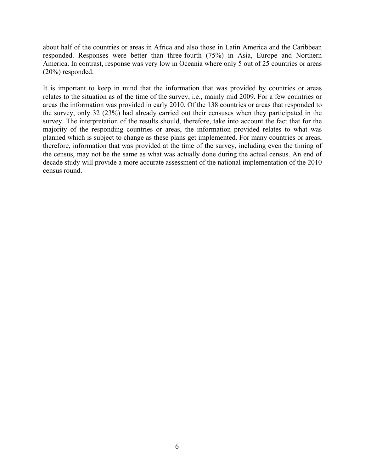about half of the countries or areas in Africa and also those in Latin America and the Caribbean responded. Responses were better than three-fourth (75%) in Asia, Europe and Northern America. In contrast, response was very low in Oceania where only 5 out of 25 countries or areas (20%) responded.

It is important to keep in mind that the information that was provided by countries or areas relates to the situation as of the time of the survey, i.e., mainly mid 2009. For a few countries or areas the information was provided in early 2010. Of the 138 countries or areas that responded to the survey, only 32 (23%) had already carried out their censuses when they participated in the survey. The interpretation of the results should, therefore, take into account the fact that for the majority of the responding countries or areas, the information provided relates to what was planned which is subject to change as these plans get implemented. For many countries or areas, therefore, information that was provided at the time of the survey, including even the timing of the census, may not be the same as what was actually done during the actual census. An end of decade study will provide a more accurate assessment of the national implementation of the 2010 census round.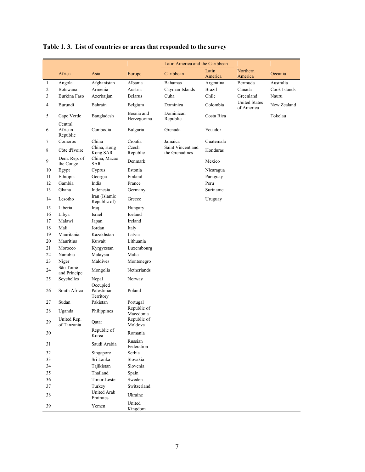|                |                                |                                      |                           | Latin America and the Caribbean     |               |                                    |              |
|----------------|--------------------------------|--------------------------------------|---------------------------|-------------------------------------|---------------|------------------------------------|--------------|
|                | Africa                         | Asia                                 |                           | Caribbean                           | Latin         | Northern                           | Oceania      |
|                |                                |                                      | Europe                    |                                     | America       | America                            |              |
| 1              | Angola                         | Afghanistan                          | Albania                   | Bahamas                             | Argentina     | Bermuda                            | Australia    |
| $\sqrt{2}$     | Botswana                       | Armenia                              | Austria                   | Cayman Islands                      | <b>Brazil</b> | Canada                             | Cook Islands |
| 3              | Burkina Faso                   | Azerbaijan                           | <b>Belarus</b>            | Cuba                                | Chile         | Greenland                          | Nauru        |
| $\overline{4}$ | Burundi                        | Bahrain                              | Belgium                   | Dominica                            | Colombia      | <b>United States</b><br>of America | New Zealand  |
| 5              | Cape Verde                     | Bangladesh                           | Bosnia and<br>Herzegovina | Dominican<br>Republic               | Costa Rica    |                                    | Tokelau      |
| 6              | Central<br>African<br>Republic | Cambodia                             | Bulgaria                  | Grenada                             | Ecuador       |                                    |              |
| 7              | Comoros                        | China                                | Croatia                   | Jamaica                             | Guatemala     |                                    |              |
| 8              | Côte d'Ivoire                  | China, Hong<br>Kong SAR              | Czech<br>Republic         | Saint Vincent and<br>the Grenadines | Honduras      |                                    |              |
| 9              | Dem. Rep. of<br>the Congo      | China, Macao<br>SAR                  | Denmark                   |                                     | Mexico        |                                    |              |
| 10             | Egypt                          | Cyprus                               | Estonia                   |                                     | Nicaragua     |                                    |              |
| 11             | Ethiopia                       | Georgia                              | Finland                   |                                     | Paraguay      |                                    |              |
| 12             | Gambia                         | India                                | France                    |                                     | Peru          |                                    |              |
| 13             | Ghana                          | Indonesia                            | Germany                   |                                     | Suriname      |                                    |              |
| 14             | Lesotho                        | Iran (Islamic<br>Republic of)        | Greece                    |                                     | Uruguay       |                                    |              |
| 15             | Liberia                        | Iraq                                 | Hungary                   |                                     |               |                                    |              |
| 16             | Libya                          | Israel                               | Iceland                   |                                     |               |                                    |              |
| 17             | Malawi                         | Japan                                | Ireland                   |                                     |               |                                    |              |
| 18             | Mali                           | Jordan                               | Italy                     |                                     |               |                                    |              |
| 19             | Mauritania                     | Kazakhstan                           | Latvia                    |                                     |               |                                    |              |
| 20             | Mauritius                      | Kuwait                               | Lithuania                 |                                     |               |                                    |              |
| 21             | Morocco                        | Kyrgyzstan                           | Luxembourg                |                                     |               |                                    |              |
| 22             | Namibia                        | Malaysia                             | Malta                     |                                     |               |                                    |              |
| 23             | Niger                          | Maldives                             | Montenegro                |                                     |               |                                    |              |
| 24             | São Tomé<br>and Príncipe       | Mongolia                             | Netherlands               |                                     |               |                                    |              |
| 25             | Seychelles                     | Nepal                                | Norway                    |                                     |               |                                    |              |
| 26             | South Africa                   | Occupied<br>Palestinian<br>Territory | Poland                    |                                     |               |                                    |              |
| 27             | Sudan                          | Pakistan                             | Portugal                  |                                     |               |                                    |              |
| 28             | Uganda                         | Philippines                          | Republic of               |                                     |               |                                    |              |
|                |                                |                                      | Macedonia                 |                                     |               |                                    |              |
| 29             | United Rep.<br>of Tanzania     | Qatar                                | Republic of<br>Moldova    |                                     |               |                                    |              |
| 30             |                                | Republic of<br>Korea                 | Romania                   |                                     |               |                                    |              |
| 31             |                                | Saudi Arabia                         | Russian<br>Federation     |                                     |               |                                    |              |
| 32             |                                | Singapore                            | Serbia                    |                                     |               |                                    |              |
| 33             |                                | Sri Lanka                            | Slovakia                  |                                     |               |                                    |              |
| 34             |                                | Tajikistan                           | Slovenia                  |                                     |               |                                    |              |
| 35             |                                | Thailand                             | Spain                     |                                     |               |                                    |              |
| 36             |                                | Timor-Leste                          | Sweden                    |                                     |               |                                    |              |
| 37             |                                | Turkey                               | Switzerland               |                                     |               |                                    |              |
| 38             |                                | United Arab<br>Emirates              | Ukraine                   |                                     |               |                                    |              |
| 39             |                                | Yemen                                | United<br>Kingdom         |                                     |               |                                    |              |

# **Table 1. 3. List of countries or areas that responded to the survey**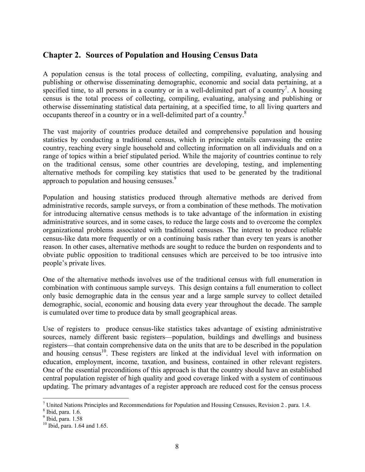# **Chapter 2. Sources of Population and Housing Census Data**

A population census is the total process of collecting, compiling, evaluating, analysing and publishing or otherwise disseminating demographic, economic and social data pertaining, at a specified time, to all persons in a country or in a well-delimited part of a country<sup>7</sup>. A housing census is the total process of collecting, compiling, evaluating, analysing and publishing or otherwise disseminating statistical data pertaining, at a specified time, to all living quarters and occupants thereof in a country or in a well-delimited part of a country.<sup>8</sup>

The vast majority of countries produce detailed and comprehensive population and housing statistics by conducting a traditional census, which in principle entails canvassing the entire country, reaching every single household and collecting information on all individuals and on a range of topics within a brief stipulated period. While the majority of countries continue to rely on the traditional census, some other countries are developing, testing, and implementing alternative methods for compiling key statistics that used to be generated by the traditional approach to population and housing censuses.<sup>9</sup>

Population and housing statistics produced through alternative methods are derived from administrative records, sample surveys, or from a combination of these methods. The motivation for introducing alternative census methods is to take advantage of the information in existing administrative sources, and in some cases, to reduce the large costs and to overcome the complex organizational problems associated with traditional censuses. The interest to produce reliable census-like data more frequently or on a continuing basis rather than every ten years is another reason. In other cases, alternative methods are sought to reduce the burden on respondents and to obviate public opposition to traditional censuses which are perceived to be too intrusive into people's private lives.

One of the alternative methods involves use of the traditional census with full enumeration in combination with continuous sample surveys. This design contains a full enumeration to collect only basic demographic data in the census year and a large sample survey to collect detailed demographic, social, economic and housing data every year throughout the decade. The sample is cumulated over time to produce data by small geographical areas.

Use of registers to produce census-like statistics takes advantage of existing administrative sources, namely different basic registers—population, buildings and dwellings and business registers—that contain comprehensive data on the units that are to be described in the population and housing census<sup>10</sup>. These registers are linked at the individual level with information on education, employment, income, taxation, and business, contained in other relevant registers. One of the essential preconditions of this approach is that the country should have an established central population register of high quality and good coverage linked with a system of continuous updating. The primary advantages of a register approach are reduced cost for the census process

<sup>&</sup>lt;sup>7</sup> United Nations Principles and Recommendations for Population and Housing Censuses, Revision 2. para. 1.4.

<sup>8</sup> Ibid, para. 1.6.

<sup>9</sup> Ibid, para. 1.58

 $10$  Ibid, para. 1.64 and 1.65.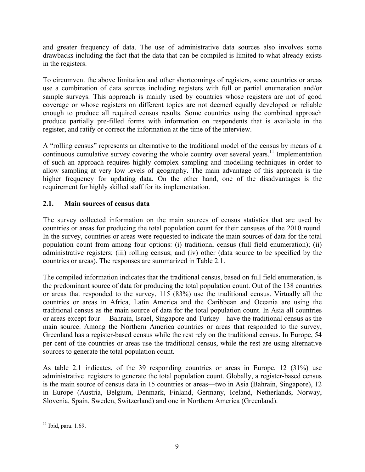and greater frequency of data. The use of administrative data sources also involves some drawbacks including the fact that the data that can be compiled is limited to what already exists in the registers.

To circumvent the above limitation and other shortcomings of registers, some countries or areas use a combination of data sources including registers with full or partial enumeration and/or sample surveys. This approach is mainly used by countries whose registers are not of good coverage or whose registers on different topics are not deemed equally developed or reliable enough to produce all required census results. Some countries using the combined approach produce partially pre-filled forms with information on respondents that is available in the register, and ratify or correct the information at the time of the interview.

A "rolling census" represents an alternative to the traditional model of the census by means of a continuous cumulative survey covering the whole country over several years.<sup>11</sup> Implementation of such an approach requires highly complex sampling and modelling techniques in order to allow sampling at very low levels of geography. The main advantage of this approach is the higher frequency for updating data. On the other hand, one of the disadvantages is the requirement for highly skilled staff for its implementation.

# **2.1. Main sources of census data**

The survey collected information on the main sources of census statistics that are used by countries or areas for producing the total population count for their censuses of the 2010 round. In the survey, countries or areas were requested to indicate the main sources of data for the total population count from among four options: (i) traditional census (full field enumeration); (ii) administrative registers; (iii) rolling census; and (iv) other (data source to be specified by the countries or areas). The responses are summarized in Table 2.1.

The compiled information indicates that the traditional census, based on full field enumeration, is the predominant source of data for producing the total population count. Out of the 138 countries or areas that responded to the survey, 115 (83%) use the traditional census. Virtually all the countries or areas in Africa, Latin America and the Caribbean and Oceania are using the traditional census as the main source of data for the total population count. In Asia all countries or areas except four —Bahrain, Israel, Singapore and Turkey—have the traditional census as the main source. Among the Northern America countries or areas that responded to the survey, Greenland has a register-based census while the rest rely on the traditional census. In Europe, 54 per cent of the countries or areas use the traditional census, while the rest are using alternative sources to generate the total population count.

As table 2.1 indicates, of the 39 responding countries or areas in Europe, 12 (31%) use administrative registers to generate the total population count. Globally, a register-based census is the main source of census data in 15 countries or areas—two in Asia (Bahrain, Singapore), 12 in Europe (Austria, Belgium, Denmark, Finland, Germany, Iceland, Netherlands, Norway, Slovenia, Spain, Sweden, Switzerland) and one in Northern America (Greenland).

 $\overline{a}$  $11$  Ibid, para. 1.69.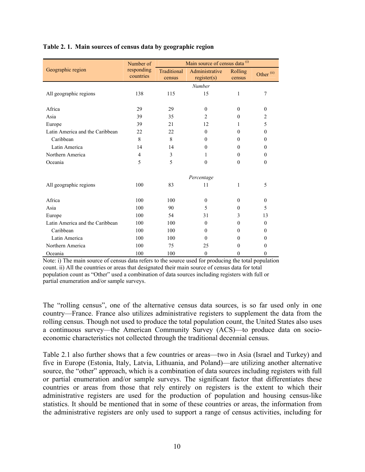|                                 | Number of               | Main source of census data (i) |                               |                   |                       |  |  |  |
|---------------------------------|-------------------------|--------------------------------|-------------------------------|-------------------|-----------------------|--|--|--|
| Geographic region               | responding<br>countries | Traditional<br>census          | Administrative<br>register(s) | Rolling<br>census | Other <sup>(ii)</sup> |  |  |  |
|                                 |                         |                                | Number                        |                   |                       |  |  |  |
| All geographic regions          | 138                     | 115                            | 15                            | $\mathbf{1}$      | 7                     |  |  |  |
|                                 |                         |                                |                               |                   |                       |  |  |  |
| Africa                          | 29                      | 29                             | $\theta$                      | $\theta$          | $\mathbf{0}$          |  |  |  |
| Asia                            | 39                      | 35                             | $\overline{c}$                | $\theta$          | $\overline{2}$        |  |  |  |
| Europe                          | 39                      | 21                             | 12                            | 1                 | 5                     |  |  |  |
| Latin America and the Caribbean | 22                      | 22                             | $\theta$                      | $\theta$          | $\theta$              |  |  |  |
| Caribbean                       | 8                       | 8                              | $\Omega$                      | $\Omega$          | $\theta$              |  |  |  |
| Latin America                   | 14                      | 14                             | $\theta$                      | $\theta$          | $\mathbf{0}$          |  |  |  |
| Northern America                | $\overline{4}$          | 3                              | 1                             | $\theta$          | $\mathbf{0}$          |  |  |  |
| Oceania                         | 5                       | 5                              | $\theta$                      | $\mathbf{0}$      | $\boldsymbol{0}$      |  |  |  |
|                                 |                         |                                | Percentage                    |                   |                       |  |  |  |
| All geographic regions          | 100                     | 83                             | 11                            | 1                 | 5                     |  |  |  |
| Africa                          | 100                     | 100                            | $\mathbf{0}$                  | $\theta$          | $\mathbf{0}$          |  |  |  |
| Asia                            | 100                     | 90                             | 5                             | $\theta$          | 5                     |  |  |  |
| Europe                          | 100                     | 54                             | 31                            | 3                 | 13                    |  |  |  |
| Latin America and the Caribbean | 100                     | 100                            | $\theta$                      | $\theta$          | $\theta$              |  |  |  |
| Caribbean                       | 100                     | 100                            | $\Omega$                      | $\Omega$          | $\mathbf{0}$          |  |  |  |
| Latin America                   | 100                     | 100                            | $\theta$                      | $\theta$          | $\theta$              |  |  |  |
| Northern America                | 100                     | 75                             | 25                            | $\theta$          | $\mathbf{0}$          |  |  |  |
| Oceania                         | 100                     | 100                            | $\theta$                      | $\theta$          | $\mathbf{0}$          |  |  |  |

#### **Table 2. 1. Main sources of census data by geographic region**

Note: i) The main source of census data refers to the source used for producing the total population count. ii) All the countries or areas that designated their main source of census data for total population count as "Other" used a combination of data sources including registers with full or partial enumeration and/or sample surveys.

The "rolling census", one of the alternative census data sources, is so far used only in one country—France. France also utilizes administrative registers to supplement the data from the rolling census. Though not used to produce the total population count, the United States also uses a continuous survey—the American Community Survey (ACS)—to produce data on socioeconomic characteristics not collected through the traditional decennial census.

Table 2.1 also further shows that a few countries or areas—two in Asia (Israel and Turkey) and five in Europe (Estonia, Italy, Latvia, Lithuania, and Poland)—are utilizing another alternative source, the "other" approach, which is a combination of data sources including registers with full or partial enumeration and/or sample surveys. The significant factor that differentiates these countries or areas from those that rely entirely on registers is the extent to which their administrative registers are used for the production of population and housing census-like statistics. It should be mentioned that in some of these countries or areas, the information from the administrative registers are only used to support a range of census activities, including for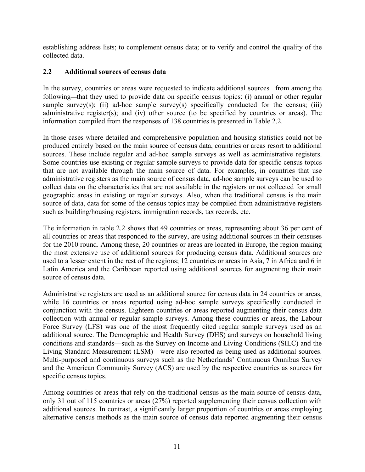establishing address lists; to complement census data; or to verify and control the quality of the collected data.

## **2.2 Additional sources of census data**

In the survey, countries or areas were requested to indicate additional sources—from among the following—that they used to provide data on specific census topics: (i) annual or other regular sample survey(s); (ii) ad-hoc sample survey(s) specifically conducted for the census; (iii) administrative register(s); and (iv) other source (to be specified by countries or areas). The information compiled from the responses of 138 countries is presented in Table 2.2.

In those cases where detailed and comprehensive population and housing statistics could not be produced entirely based on the main source of census data, countries or areas resort to additional sources. These include regular and ad-hoc sample surveys as well as administrative registers. Some countries use existing or regular sample surveys to provide data for specific census topics that are not available through the main source of data. For examples, in countries that use administrative registers as the main source of census data, ad-hoc sample surveys can be used to collect data on the characteristics that are not available in the registers or not collected for small geographic areas in existing or regular surveys. Also, when the traditional census is the main source of data, data for some of the census topics may be compiled from administrative registers such as building/housing registers, immigration records, tax records, etc.

The information in table 2.2 shows that 49 countries or areas, representing about 36 per cent of all countries or areas that responded to the survey, are using additional sources in their censuses for the 2010 round. Among these, 20 countries or areas are located in Europe, the region making the most extensive use of additional sources for producing census data. Additional sources are used to a lesser extent in the rest of the regions; 12 countries or areas in Asia, 7 in Africa and 6 in Latin America and the Caribbean reported using additional sources for augmenting their main source of census data.

Administrative registers are used as an additional source for census data in 24 countries or areas, while 16 countries or areas reported using ad-hoc sample surveys specifically conducted in conjunction with the census. Eighteen countries or areas reported augmenting their census data collection with annual or regular sample surveys. Among these countries or areas, the Labour Force Survey (LFS) was one of the most frequently cited regular sample surveys used as an additional source. The Demographic and Health Survey (DHS) and surveys on household living conditions and standards—such as the Survey on Income and Living Conditions (SILC) and the Living Standard Measurement (LSM)—were also reported as being used as additional sources. Multi-purposed and continuous surveys such as the Netherlands' Continuous Omnibus Survey and the American Community Survey (ACS) are used by the respective countries as sources for specific census topics.

Among countries or areas that rely on the traditional census as the main source of census data, only 31 out of 115 countries or areas (27%) reported supplementing their census collection with additional sources. In contrast, a significantly larger proportion of countries or areas employing alternative census methods as the main source of census data reported augmenting their census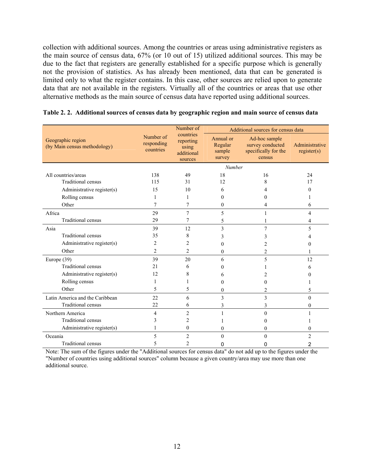collection with additional sources. Among the countries or areas using administrative registers as the main source of census data, 67% (or 10 out of 15) utilized additional sources. This may be due to the fact that registers are generally established for a specific purpose which is generally not the provision of statistics. As has already been mentioned, data that can be generated is limited only to what the register contains. In this case, other sources are relied upon to generate data that are not available in the registers. Virtually all of the countries or areas that use other alternative methods as the main source of census data have reported using additional sources.

|                                                   |                                      | Number of                                                | Additional sources for census data       |                                                                     |                               |  |  |
|---------------------------------------------------|--------------------------------------|----------------------------------------------------------|------------------------------------------|---------------------------------------------------------------------|-------------------------------|--|--|
| Geographic region<br>(by Main census methodology) | Number of<br>responding<br>countries | countries<br>reporting<br>using<br>additional<br>sources | Annual or<br>Regular<br>sample<br>survey | Ad-hoc sample<br>survey conducted<br>specifically for the<br>census | Administrative<br>register(s) |  |  |
|                                                   |                                      |                                                          | Number                                   |                                                                     |                               |  |  |
| All countries/areas                               | 138                                  | 49                                                       | 18                                       | 16                                                                  | 24                            |  |  |
| <b>Traditional census</b>                         | 115                                  | 31                                                       | 12                                       | 8                                                                   | 17                            |  |  |
| Administrative register(s)                        | 15                                   | 10                                                       | 6                                        | 4                                                                   | 0                             |  |  |
| Rolling census                                    | 1                                    |                                                          | 0                                        | $\theta$                                                            |                               |  |  |
| Other                                             | 7                                    | 7                                                        | 0                                        | 4                                                                   | 6                             |  |  |
| Africa                                            | 29                                   | 7                                                        | 5                                        |                                                                     | 4                             |  |  |
| Traditional census                                | 29                                   | 7                                                        | 5                                        |                                                                     | 4                             |  |  |
| Asia                                              | 39                                   | 12                                                       | 3                                        | 7                                                                   | 5                             |  |  |
| Traditional census                                | 35                                   | 8                                                        | 3                                        | 3                                                                   |                               |  |  |
| Administrative register(s)                        | 2                                    | 2                                                        | 0                                        | 2                                                                   | 0                             |  |  |
| Other                                             | $\overline{2}$                       | $\overline{c}$                                           | $\Omega$                                 | 2                                                                   |                               |  |  |
| Europe $(39)$                                     | 39                                   | 20                                                       | 6                                        | 5                                                                   | 12                            |  |  |
| <b>Traditional census</b>                         | 2.1                                  | 6                                                        | 0                                        |                                                                     | 6                             |  |  |
| Administrative register(s)                        | 12                                   | 8                                                        | 6                                        |                                                                     | $_{0}$                        |  |  |
| Rolling census                                    |                                      |                                                          | 0                                        | $\theta$                                                            |                               |  |  |
| Other                                             | 5                                    | 5                                                        | 0                                        | $\overline{c}$                                                      | 5                             |  |  |
| Latin America and the Caribbean                   | 22                                   | 6                                                        | 3                                        | 3                                                                   | $\theta$                      |  |  |
| <b>Traditional census</b>                         | 22                                   | 6                                                        | 3                                        | 3                                                                   | $\theta$                      |  |  |
| Northern America                                  | 4                                    | $\overline{c}$                                           |                                          | $\theta$                                                            |                               |  |  |
| <b>Traditional census</b>                         | 3                                    | 2                                                        |                                          | $\theta$                                                            |                               |  |  |
| Administrative register(s)                        |                                      | $\boldsymbol{0}$                                         | 0                                        | $\mathbf{0}$                                                        | 0                             |  |  |
| Oceania                                           | 5                                    | $\overline{c}$                                           | 0                                        | $\theta$                                                            | $\overline{c}$                |  |  |
| Traditional census                                | 5                                    | 2                                                        | 0                                        | 0                                                                   | 2                             |  |  |

| Table 2.2. Additional sources of census data by geographic region and main source of census data |  |  |  |  |
|--------------------------------------------------------------------------------------------------|--|--|--|--|
|                                                                                                  |  |  |  |  |

Note: The sum of the figures under the "Additional sources for census data" do not add up to the figures under the "Number of countries using additional sources" column because a given country/area may use more than one additional source.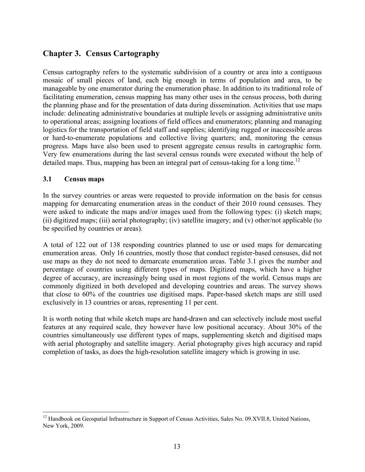# **Chapter 3. Census Cartography**

Census cartography refers to the systematic subdivision of a country or area into a contiguous mosaic of small pieces of land, each big enough in terms of population and area, to be manageable by one enumerator during the enumeration phase. In addition to its traditional role of facilitating enumeration, census mapping has many other uses in the census process, both during the planning phase and for the presentation of data during dissemination. Activities that use maps include: delineating administrative boundaries at multiple levels or assigning administrative units to operational areas; assigning locations of field offices and enumerators; planning and managing logistics for the transportation of field staff and supplies; identifying rugged or inaccessible areas or hard-to-enumerate populations and collective living quarters; and, monitoring the census progress. Maps have also been used to present aggregate census results in cartographic form. Very few enumerations during the last several census rounds were executed without the help of detailed maps. Thus, mapping has been an integral part of census-taking for a long time.<sup>12</sup>

#### **3.1 Census maps**

 $\overline{a}$ 

In the survey countries or areas were requested to provide information on the basis for census mapping for demarcating enumeration areas in the conduct of their 2010 round censuses. They were asked to indicate the maps and/or images used from the following types: (i) sketch maps; (ii) digitized maps; (iii) aerial photography; (iv) satellite imagery; and (v) other/not applicable (to be specified by countries or areas).

A total of 122 out of 138 responding countries planned to use or used maps for demarcating enumeration areas. Only 16 countries, mostly those that conduct register-based censuses, did not use maps as they do not need to demarcate enumeration areas. Table 3.1 gives the number and percentage of countries using different types of maps. Digitized maps, which have a higher degree of accuracy, are increasingly being used in most regions of the world. Census maps are commonly digitized in both developed and developing countries and areas. The survey shows that close to 60% of the countries use digitised maps. Paper-based sketch maps are still used exclusively in 13 countries or areas, representing 11 per cent.

It is worth noting that while sketch maps are hand-drawn and can selectively include most useful features at any required scale, they however have low positional accuracy. About 30% of the countries simultaneously use different types of maps, supplementing sketch and digitised maps with aerial photography and satellite imagery. Aerial photography gives high accuracy and rapid completion of tasks, as does the high-resolution satellite imagery which is growing in use.

<sup>&</sup>lt;sup>12</sup> Handbook on Geospatial Infrastructure in Support of Census Activities, Sales No. 09.XVII.8, United Nations, New York, 2009.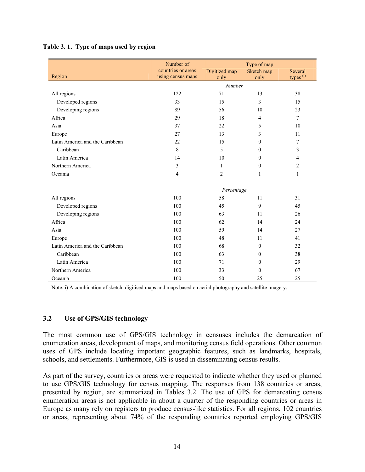|                                 | Number of                               | Type of map           |                    |                                 |  |  |  |
|---------------------------------|-----------------------------------------|-----------------------|--------------------|---------------------------------|--|--|--|
| Region                          | countries or areas<br>using census maps | Digitized map<br>only | Sketch map<br>only | Several<br>types <sup>(i)</sup> |  |  |  |
|                                 |                                         | Number                |                    |                                 |  |  |  |
| All regions                     | 122                                     | 71                    | 13                 | 38                              |  |  |  |
| Developed regions               | 33                                      | 15                    | 3                  | 15                              |  |  |  |
| Developing regions              | 89                                      | 56                    | 10                 | 23                              |  |  |  |
| Africa                          | 29                                      | 18                    | 4                  | $\tau$                          |  |  |  |
| Asia                            | 37                                      | 22                    | 5                  | 10                              |  |  |  |
| Europe                          | 27                                      | 13                    | 3                  | 11                              |  |  |  |
| Latin America and the Caribbean | 22                                      | 15                    | $\mathbf{0}$       | 7                               |  |  |  |
| Caribbean                       | 8                                       | 5                     | $\Omega$           | 3                               |  |  |  |
| Latin America                   | 14                                      | 10                    | 0                  | 4                               |  |  |  |
| Northern America                | 3                                       | $\mathbf{1}$          | $\mathbf{0}$       | $\overline{c}$                  |  |  |  |
| Oceania                         | 4                                       | $\overline{2}$        | 1                  | $\mathbf{1}$                    |  |  |  |
|                                 |                                         | Percentage            |                    |                                 |  |  |  |
| All regions                     | 100                                     | 58                    | 11                 | 31                              |  |  |  |
| Developed regions               | 100                                     | 45                    | 9                  | 45                              |  |  |  |
| Developing regions              | 100                                     | 63                    | 11                 | 26                              |  |  |  |
| Africa                          | 100                                     | 62                    | 14                 | 24                              |  |  |  |
| Asia                            | 100                                     | 59                    | 14                 | 27                              |  |  |  |
| Europe                          | 100                                     | 48                    | 11                 | 41                              |  |  |  |
| Latin America and the Caribbean | 100                                     | 68                    | $\theta$           | 32                              |  |  |  |
| Caribbean                       | 100                                     | 63                    | $\Omega$           | 38                              |  |  |  |
| Latin America                   | 100                                     | 71                    | $\mathbf{0}$       | 29                              |  |  |  |
| Northern America                | 100                                     | 33                    | $\Omega$           | 67                              |  |  |  |
| Oceania                         | 100                                     | 50                    | 25                 | 25                              |  |  |  |

#### **Table 3. 1. Type of maps used by region**

Note: i) A combination of sketch, digitised maps and maps based on aerial photography and satellite imagery.

## **3.2 Use of GPS/GIS technology**

The most common use of GPS/GIS technology in censuses includes the demarcation of enumeration areas, development of maps, and monitoring census field operations. Other common uses of GPS include locating important geographic features, such as landmarks, hospitals, schools, and settlements. Furthermore, GIS is used in disseminating census results.

As part of the survey, countries or areas were requested to indicate whether they used or planned to use GPS/GIS technology for census mapping. The responses from 138 countries or areas, presented by region, are summarized in Tables 3.2. The use of GPS for demarcating census enumeration areas is not applicable in about a quarter of the responding countries or areas in Europe as many rely on registers to produce census-like statistics. For all regions, 102 countries or areas, representing about 74% of the responding countries reported employing GPS/GIS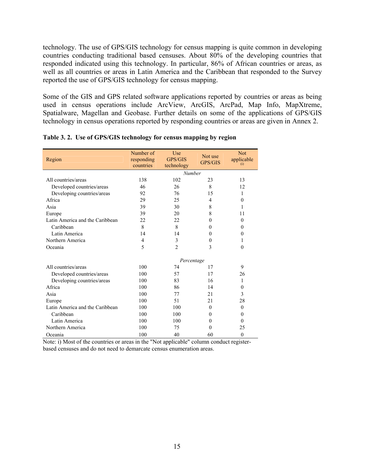technology. The use of GPS/GIS technology for census mapping is quite common in developing countries conducting traditional based censuses. About 80% of the developing countries that responded indicated using this technology. In particular, 86% of African countries or areas, as well as all countries or areas in Latin America and the Caribbean that responded to the Survey reported the use of GPS/GIS technology for census mapping.

Some of the GIS and GPS related software applications reported by countries or areas as being used in census operations include ArcView, ArcGIS, ArcPad, Map Info, MapXtreme, Spatialware, Magellan and Geobase. Further details on some of the applications of GPS/GIS technology in census operations reported by responding countries or areas are given in Annex 2.

| Region                          | Number of<br>responding<br>countries | Use<br>GPS/GIS<br>technology | Not use<br>GPS/GIS | <b>Not</b><br>applicable<br>(i) |
|---------------------------------|--------------------------------------|------------------------------|--------------------|---------------------------------|
|                                 |                                      | Number                       |                    |                                 |
| All countries/areas             | 138                                  | 102                          | 23                 | 13                              |
| Developed countries/areas       | 46                                   | 26                           | 8                  | 12                              |
| Developing countries/areas      | 92                                   | 76                           | 15                 | 1                               |
| Africa                          | 29                                   | 25                           | $\overline{4}$     | $\theta$                        |
| Asia                            | 39                                   | 30                           | 8                  | 1                               |
| Europe                          | 39                                   | 20                           | 8                  | 11                              |
| Latin America and the Caribbean | 22                                   | 22                           | 0                  | $\Omega$                        |
| Caribbean                       | 8                                    | 8                            | $\theta$           | $\theta$                        |
| Latin America                   | 14                                   | 14                           | $\theta$           | $\theta$                        |
| Northern America                | $\overline{4}$                       | 3                            | $\theta$           | 1                               |
| Oceania                         | 5                                    | $\overline{2}$               | 3                  | $\theta$                        |
|                                 |                                      | Percentage                   |                    |                                 |
| All countries/areas             | 100                                  | 74                           | 17                 | 9                               |
| Developed countries/areas       | 100                                  | 57                           | 17                 | 26                              |
| Developing countries/areas      | 100                                  | 83                           | 16                 | 1                               |
| Africa                          | 100                                  | 86                           | 14                 | $\Omega$                        |
| Asia                            | 100                                  | 77                           | 21                 | 3                               |
| Europe                          | 100                                  | 51                           | 21                 | 28                              |
| Latin America and the Caribbean | 100                                  | 100                          | $\theta$           | $\Omega$                        |
| Caribbean                       | 100                                  | 100                          | $\theta$           | $\theta$                        |
| Latin America                   | 100                                  | 100                          | $\theta$           | $\theta$                        |
| Northern America                | 100                                  | 75                           | $\theta$           | 25                              |
| Oceania                         | 100                                  | 40                           | 60                 | $\theta$                        |

|  |  |  |  |  | Table 3.2. Use of GPS/GIS technology for census mapping by region |
|--|--|--|--|--|-------------------------------------------------------------------|
|--|--|--|--|--|-------------------------------------------------------------------|

Note: i) Most of the countries or areas in the "Not applicable" column conduct registerbased censuses and do not need to demarcate census enumeration areas.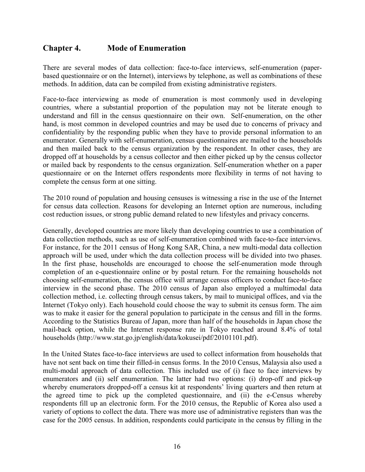# **Chapter 4. Mode of Enumeration**

There are several modes of data collection: face-to-face interviews, self-enumeration (paperbased questionnaire or on the Internet), interviews by telephone, as well as combinations of these methods. In addition, data can be compiled from existing administrative registers.

Face-to-face interviewing as mode of enumeration is most commonly used in developing countries, where a substantial proportion of the population may not be literate enough to understand and fill in the census questionnaire on their own. Self-enumeration, on the other hand, is most common in developed countries and may be used due to concerns of privacy and confidentiality by the responding public when they have to provide personal information to an enumerator. Generally with self-enumeration, census questionnaires are mailed to the households and then mailed back to the census organization by the respondent. In other cases, they are dropped off at households by a census collector and then either picked up by the census collector or mailed back by respondents to the census organization. Self-enumeration whether on a paper questionnaire or on the Internet offers respondents more flexibility in terms of not having to complete the census form at one sitting.

The 2010 round of population and housing censuses is witnessing a rise in the use of the Internet for census data collection. Reasons for developing an Internet option are numerous, including cost reduction issues, or strong public demand related to new lifestyles and privacy concerns.

Generally, developed countries are more likely than developing countries to use a combination of data collection methods, such as use of self-enumeration combined with face-to-face interviews. For instance, for the 2011 census of Hong Kong SAR, China, a new multi-modal data collection approach will be used, under which the data collection process will be divided into two phases. In the first phase, households are encouraged to choose the self-enumeration mode through completion of an e-questionnaire online or by postal return. For the remaining households not choosing self-enumeration, the census office will arrange census officers to conduct face-to-face interview in the second phase. The 2010 census of Japan also employed a multimodal data collection method, i.e. collecting through census takers, by mail to municipal offices, and via the Internet (Tokyo only). Each household could choose the way to submit its census form. The aim was to make it easier for the general population to participate in the census and fill in the forms. According to the Statistics Bureau of Japan, more than half of the households in Japan chose the mail-back option, while the Internet response rate in Tokyo reached around 8.4% of total households (http://www.stat.go.jp/english/data/kokusei/pdf/20101101.pdf).

In the United States face-to-face interviews are used to collect information from households that have not sent back on time their filled-in census forms. In the 2010 Census, Malaysia also used a multi-modal approach of data collection. This included use of (i) face to face interviews by enumerators and (ii) self enumeration. The latter had two options: (i) drop-off and pick-up whereby enumerators dropped-off a census kit at respondents' living quarters and then return at the agreed time to pick up the completed questionnaire, and (ii) the e-Census whereby respondents fill up an electronic form. For the 2010 census, the Republic of Korea also used a variety of options to collect the data. There was more use of administrative registers than was the case for the 2005 census. In addition, respondents could participate in the census by filling in the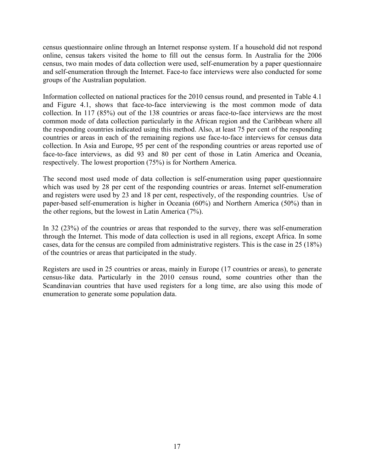census questionnaire online through an Internet response system. If a household did not respond online, census takers visited the home to fill out the census form. In Australia for the 2006 census, two main modes of data collection were used, self-enumeration by a paper questionnaire and self-enumeration through the Internet. Face-to face interviews were also conducted for some groups of the Australian population.

Information collected on national practices for the 2010 census round, and presented in Table 4.1 and Figure 4.1, shows that face-to-face interviewing is the most common mode of data collection. In 117 (85%) out of the 138 countries or areas face-to-face interviews are the most common mode of data collection particularly in the African region and the Caribbean where all the responding countries indicated using this method. Also, at least 75 per cent of the responding countries or areas in each of the remaining regions use face-to-face interviews for census data collection. In Asia and Europe, 95 per cent of the responding countries or areas reported use of face-to-face interviews, as did 93 and 80 per cent of those in Latin America and Oceania, respectively. The lowest proportion (75%) is for Northern America.

The second most used mode of data collection is self-enumeration using paper questionnaire which was used by 28 per cent of the responding countries or areas. Internet self-enumeration and registers were used by 23 and 18 per cent, respectively, of the responding countries. Use of paper-based self-enumeration is higher in Oceania (60%) and Northern America (50%) than in the other regions, but the lowest in Latin America (7%).

In 32 (23%) of the countries or areas that responded to the survey, there was self-enumeration through the Internet. This mode of data collection is used in all regions, except Africa. In some cases, data for the census are compiled from administrative registers. This is the case in 25 (18%) of the countries or areas that participated in the study.

Registers are used in 25 countries or areas, mainly in Europe (17 countries or areas), to generate census-like data. Particularly in the 2010 census round, some countries other than the Scandinavian countries that have used registers for a long time, are also using this mode of enumeration to generate some population data.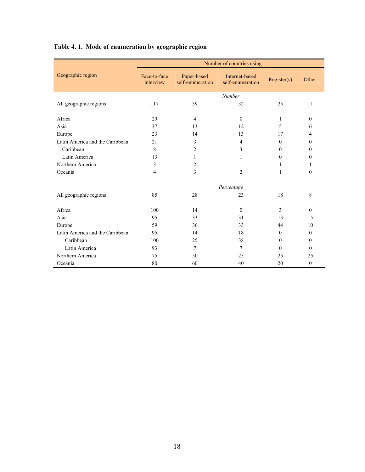# **Table 4. 1. Mode of enumeration by geographic region**

|                                 |                           |                                 | Number of countries using          |              |              |
|---------------------------------|---------------------------|---------------------------------|------------------------------------|--------------|--------------|
| Geographic region               | Face-to-face<br>interview | Paper-based<br>self-enumeration | Internet-based<br>self-enumeration | Register(s)  | Other        |
|                                 |                           |                                 | Number                             |              |              |
| All geographic regions          | 117                       | 39                              | 32                                 | 25           | 11           |
|                                 |                           |                                 |                                    |              |              |
| Africa                          | 29                        | $\overline{4}$                  | $\Omega$                           | 1            | $\mathbf{0}$ |
| Asia                            | 37                        | 13                              | 12                                 | 5            | 6            |
| Europe                          | 23                        | 14                              | 13                                 | 17           | 4            |
| Latin America and the Caribbean | 21                        | 3                               | 4                                  | $\mathbf{0}$ | $\theta$     |
| Caribbean                       | 8                         | 2                               | 3                                  | $\theta$     | $\Omega$     |
| Latin America                   | 13                        | 1                               | 1                                  | $\theta$     | $\theta$     |
| Northern America                | 3                         | 2                               | 1                                  | 1            | 1            |
| Oceania                         | $\overline{4}$            | 3                               | 2                                  | $\mathbf{1}$ | $\theta$     |
|                                 |                           |                                 |                                    |              |              |
|                                 |                           |                                 | Percentage                         |              |              |
| All geographic regions          | 85                        | 28                              | 23                                 | 18           | 8            |
| Africa                          | 100                       | 14                              | $\theta$                           | 3            | $\Omega$     |
| Asia                            | 95                        | 33                              | 31                                 | 13           | 15           |
| Europe                          | 59                        | 36                              | 33                                 | 44           | 10           |
| Latin America and the Caribbean | 95                        | 14                              | 18                                 | $\theta$     | $\theta$     |
| Caribbean                       | 100                       | 25                              | 38                                 | $\theta$     | $\theta$     |
| Latin America                   | 93                        | 7                               | 7                                  | $\theta$     | $\Omega$     |
| Northern America                | 75                        | 50                              | 25                                 | 25           | 25           |
| Oceania                         | 80                        | 60                              | 40                                 | 20           | $\theta$     |
|                                 |                           |                                 |                                    |              |              |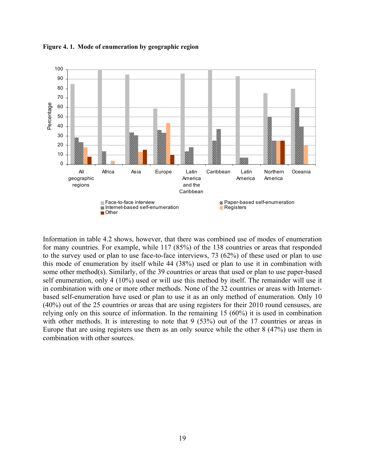

**Figure 4. 1. Mode of enumeration by geographic region** 

Information in table 4.2 shows, however, that there was combined use of modes of enumeration for many countries. For example, while 117 (85%) of the 138 countries or areas that responded to the survey used or plan to use face-to-face interviews, 73 (62%) of these used or plan to use this mode of enumeration by itself while 44 (38%) used or plan to use it in combination with some other method(s). Similarly, of the 39 countries or areas that used or plan to use paper-based self enumeration, only 4 (10%) used or will use this method by itself. The remainder will use it in combination with one or more other methods. None of the 32 countries or areas with Internetbased self-enumeration have used or plan to use it as an only method of enumeration. Only 10 (40%) out of the 25 countries or areas that are using registers for their 2010 round censuses, are relying only on this source of information. In the remaining 15 (60%) it is used in combination with other methods. It is interesting to note that 9 (53%) out of the 17 countries or areas in Europe that are using registers use them as an only source while the other 8 (47%) use them in combination with other sources.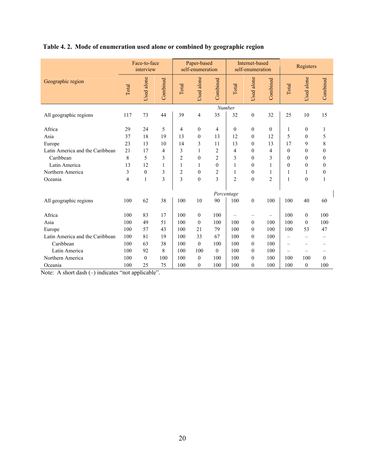|                                 | Face-to-face<br>interview |              |          | Paper-based<br>self-enumeration |                                  | Internet-based<br>self-enumeration |                    |                                  | Registers      |                          |                                  |                  |
|---------------------------------|---------------------------|--------------|----------|---------------------------------|----------------------------------|------------------------------------|--------------------|----------------------------------|----------------|--------------------------|----------------------------------|------------------|
| Geographic region               | Total                     | Used alone   | Combined | Total                           | Used alone                       | Combined                           | Total              | Used alone                       | Combined       | Total                    | Used alone                       | Combined         |
| All geographic regions          | 117                       | 73           | 44       | 39                              | 4                                | 35                                 | Number<br>32       | $\boldsymbol{0}$                 | 32             | 25                       | 10                               | 15               |
| Africa<br>Asia                  | 29<br>37                  | 24<br>18     | 5<br>19  | 4<br>13                         | $\boldsymbol{0}$<br>$\mathbf{0}$ | 4<br>13                            | $\mathbf{0}$<br>12 | $\boldsymbol{0}$<br>$\mathbf{0}$ | $\theta$<br>12 | 1<br>5                   | $\boldsymbol{0}$<br>$\mathbf{0}$ | 1<br>5           |
| Europe                          | 23                        | 13           | 10       | 14                              | 3                                | 11                                 | 13                 | $\boldsymbol{0}$                 | 13             | 17                       | 9                                | 8                |
| Latin America and the Caribbean | 21                        | 17           | 4        | 3                               | 1                                | 2                                  | 4                  | $\boldsymbol{0}$                 | $\overline{4}$ | $\theta$                 | $\mathbf{0}$                     | $\boldsymbol{0}$ |
| Caribbean                       | 8                         | 5            | 3        | $\overline{2}$                  | $\mathbf{0}$                     | $\overline{c}$                     | 3                  | $\mathbf{0}$                     | 3              | $\theta$                 | $\mathbf{0}$                     | $\mathbf{0}$     |
| Latin America                   | 13                        | 12           | 1        | 1                               | 1                                | $\theta$                           | $\mathbf{1}$       | $\mathbf{0}$                     | 1              | $\theta$                 | $\mathbf{0}$                     | $\mathbf{0}$     |
| Northern America                | $\mathfrak{Z}$            | $\theta$     | 3        | $\overline{c}$                  | $\boldsymbol{0}$                 | 2                                  | 1                  | $\boldsymbol{0}$                 | 1              | 1                        | 1                                | $\boldsymbol{0}$ |
| Oceania                         | $\overline{4}$            | $\mathbf{1}$ | 3        | 3                               | $\mathbf{0}$                     | 3                                  | $\overline{2}$     | $\mathbf{0}$                     | $\overline{2}$ | 1                        | $\mathbf{0}$                     | $\mathbf{1}$     |
|                                 |                           |              |          |                                 |                                  |                                    | Percentage         |                                  |                |                          |                                  |                  |
| All geographic regions          | 100                       | 62           | 38       | 100                             | 10                               | 90                                 | 100                | $\boldsymbol{0}$                 | 100            | 100                      | 40                               | 60               |
| Africa                          | 100                       | 83           | 17       | 100                             | $\boldsymbol{0}$                 | 100                                |                    |                                  |                | 100                      | $\overline{0}$                   | 100              |
| Asia                            | 100                       | 49           | 51       | 100                             | $\mathbf{0}$                     | 100                                | 100                | $\boldsymbol{0}$                 | 100            | 100                      | $\overline{0}$                   | 100              |
| Europe                          | 100                       | 57           | 43       | 100                             | 21                               | 79                                 | 100                | $\mathbf{0}$                     | 100            | 100                      | 53                               | 47               |
| Latin America and the Caribbean | 100                       | 81           | 19       | 100                             | 33                               | 67                                 | 100                | $\mathbf{0}$                     | 100            | $\overline{\phantom{0}}$ | —                                |                  |
| Caribbean                       | 100                       | 63           | 38       | 100                             | $\mathbf{0}$                     | 100                                | 100                | $\theta$                         | 100            | $\overline{\phantom{0}}$ | -                                |                  |
| Latin America                   | 100                       | 92           | 8        | 100                             | 100                              | $\theta$                           | 100                | $\theta$                         | 100            | -                        | -                                |                  |
| Northern America                | 100                       | $\mathbf{0}$ | 100      | 100                             | $\boldsymbol{0}$                 | 100                                | 100                | $\boldsymbol{0}$                 | 100            | 100                      | 100                              | $\theta$         |
| Oceania                         | 100                       | 25           | 75       | 100                             | $\mathbf{0}$                     | 100                                | 100                | $\mathbf{0}$                     | 100            | 100                      | $\mathbf{0}$                     | 100              |

# **Table 4. 2. Mode of enumeration used alone or combined by geographic region**

Note: A short dash (-) indicates "not applicable".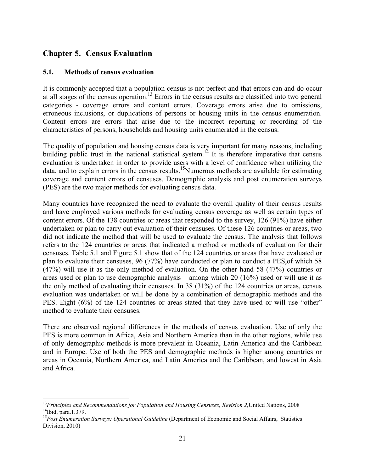# **Chapter 5. Census Evaluation**

#### **5.1. Methods of census evaluation**

<u>.</u>

It is commonly accepted that a population census is not perfect and that errors can and do occur at all stages of the census operation.13 Errors in the census results are classified into two general categories - coverage errors and content errors. Coverage errors arise due to omissions, erroneous inclusions, or duplications of persons or housing units in the census enumeration. Content errors are errors that arise due to the incorrect reporting or recording of the characteristics of persons, households and housing units enumerated in the census.

The quality of population and housing census data is very important for many reasons, including building public trust in the national statistical system.<sup>14</sup> It is therefore imperative that census evaluation is undertaken in order to provide users with a level of confidence when utilizing the data, and to explain errors in the census results.15Numerous methods are available for estimating coverage and content errors of censuses. Demographic analysis and post enumeration surveys (PES) are the two major methods for evaluating census data.

Many countries have recognized the need to evaluate the overall quality of their census results and have employed various methods for evaluating census coverage as well as certain types of content errors. Of the 138 countries or areas that responded to the survey, 126 (91%) have either undertaken or plan to carry out evaluation of their censuses. Of these 126 countries or areas, two did not indicate the method that will be used to evaluate the census. The analysis that follows refers to the 124 countries or areas that indicated a method or methods of evaluation for their censuses. Table 5.1 and Figure 5.1 show that of the 124 countries or areas that have evaluated or plan to evaluate their censuses, 96 (77%) have conducted or plan to conduct a PES,of which 58 (47%) will use it as the only method of evaluation. On the other hand 58 (47%) countries or areas used or plan to use demographic analysis – among which 20 (16%) used or will use it as the only method of evaluating their censuses. In 38 (31%) of the 124 countries or areas, census evaluation was undertaken or will be done by a combination of demographic methods and the PES. Eight (6%) of the 124 countries or areas stated that they have used or will use "other" method to evaluate their censuses.

There are observed regional differences in the methods of census evaluation. Use of only the PES is more common in Africa, Asia and Northern America than in the other regions, while use of only demographic methods is more prevalent in Oceania, Latin America and the Caribbean and in Europe. Use of both the PES and demographic methods is higher among countries or areas in Oceania, Northern America, and Latin America and the Caribbean, and lowest in Asia and Africa.

<sup>&</sup>lt;sup>13</sup>Principles and Recommendations for Population and Housing Censuses, Revision 2, United Nations, 2008 <sup>14</sup>Ibid, para.1.379. <sup>14</sup>Ibid, para.1.379.<br><sup>15</sup>Post Enumeration Surveys: Operational Guideline (Department of Economic and Social Affairs, Statistics

Division, 2010)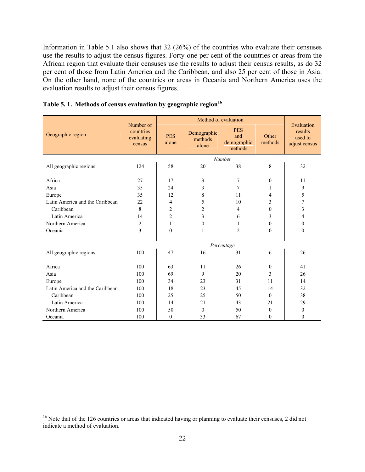Information in Table 5.1 also shows that 32 (26%) of the countries who evaluate their censuses use the results to adjust the census figures. Forty-one per cent of the countries or areas from the African region that evaluate their censuses use the results to adjust their census results, as do 32 per cent of those from Latin America and the Caribbean, and also 25 per cent of those in Asia. On the other hand, none of the countries or areas in Oceania and Northern America uses the evaluation results to adjust their census figures.

|                                 | Number of                                                |                |                                 | Method of evaluation                        |                  |                                                   |
|---------------------------------|----------------------------------------------------------|----------------|---------------------------------|---------------------------------------------|------------------|---------------------------------------------------|
| Geographic region               | countries<br><b>PES</b><br>evaluating<br>alone<br>census |                | Demographic<br>methods<br>alone | <b>PES</b><br>and<br>demographic<br>methods | Other<br>methods | Evaluation<br>results<br>used to<br>adjust census |
|                                 |                                                          |                |                                 | Number                                      |                  |                                                   |
| All geographic regions          | 124                                                      | 58             | 20                              | 38                                          | 8                | 32                                                |
|                                 |                                                          |                |                                 |                                             |                  |                                                   |
| Africa                          | 27                                                       | 17             | 3                               | $\boldsymbol{7}$                            | $\mathbf{0}$     | 11                                                |
| Asia                            | 35                                                       | 24             | 3                               | 7                                           | 1                | 9                                                 |
| Europe                          | 35                                                       | 12             | 8                               | 11                                          | 4                | 5                                                 |
| Latin America and the Caribbean | 22                                                       | 4              | 5<br>10                         |                                             | 3                | 7                                                 |
| Caribbean                       | 8                                                        | $\overline{c}$ | $\overline{c}$                  | $\overline{4}$                              | $\mathbf{0}$     | 3                                                 |
| Latin America                   | 14                                                       | $\overline{c}$ | 3                               | 6                                           | 3                | $\overline{4}$                                    |
| Northern America                | $\overline{c}$                                           | $\mathbf{1}$   | $\mathbf{0}$                    | 1                                           | $\theta$         | $\mathbf{0}$                                      |
| Oceania                         | $\overline{3}$                                           | $\mathbf{0}$   | 1                               | $\overline{2}$                              | $\theta$         | $\theta$                                          |
|                                 |                                                          |                |                                 | Percentage                                  |                  |                                                   |
| All geographic regions          | 100                                                      | 47             | 16                              | 31                                          | 6                | 26                                                |
| Africa                          | 100                                                      | 63             | 11                              | 26                                          | $\mathbf{0}$     | 41                                                |
| Asia                            | 100                                                      | 69             | 9                               | 20                                          | 3                | 26                                                |
| Europe                          | 100                                                      | 34             | 23                              | 31                                          | 11               | 14                                                |
| Latin America and the Caribbean | 100                                                      | 18             | 23                              | 45                                          | 14               | 32                                                |
| Caribbean                       | 100                                                      | 25             | 25                              | 50                                          | $\theta$         | 38                                                |
| Latin America                   | 100                                                      | 14             | 21                              | 43                                          | 21               | 29                                                |
| Northern America                | 100                                                      | 50             | $\theta$                        | 50                                          | $\theta$         | $\mathbf{0}$                                      |
| Oceania                         | 100                                                      | $\mathbf{0}$   | 33                              | 67                                          | $\Omega$         | $\theta$                                          |
|                                 |                                                          |                |                                 |                                             |                  |                                                   |

# **Table 5. 1. Methods of census evaluation by geographic region<sup>16</sup>**

 $16$  Note that of the 126 countries or areas that indicated having or planning to evaluate their censuses, 2 did not indicate a method of evaluation.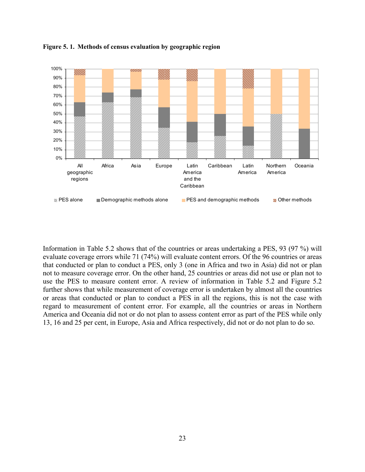

**Figure 5. 1. Methods of census evaluation by geographic region** 

Information in Table 5.2 shows that of the countries or areas undertaking a PES, 93 (97 %) will evaluate coverage errors while 71 (74%) will evaluate content errors. Of the 96 countries or areas that conducted or plan to conduct a PES, only 3 (one in Africa and two in Asia) did not or plan not to measure coverage error. On the other hand, 25 countries or areas did not use or plan not to use the PES to measure content error. A review of information in Table 5.2 and Figure 5.2 further shows that while measurement of coverage error is undertaken by almost all the countries or areas that conducted or plan to conduct a PES in all the regions, this is not the case with regard to measurement of content error. For example, all the countries or areas in Northern America and Oceania did not or do not plan to assess content error as part of the PES while only 13, 16 and 25 per cent, in Europe, Asia and Africa respectively, did not or do not plan to do so.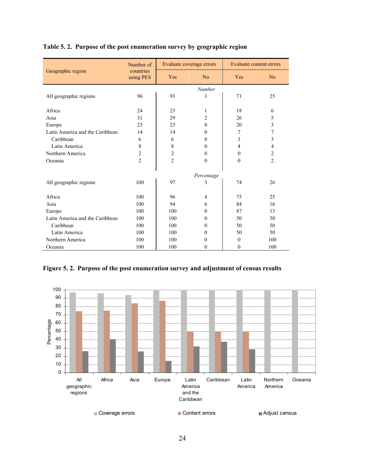|                                 | Number of              |                | Evaluate coverage errors |                | <b>Evaluate content errors</b> |  |  |
|---------------------------------|------------------------|----------------|--------------------------|----------------|--------------------------------|--|--|
| Geographic region               | countries<br>using PES | Yes            | N <sub>o</sub>           | Yes            | N <sub>o</sub>                 |  |  |
|                                 |                        |                | Number                   |                |                                |  |  |
| All geographic regions          | 96                     | 93             | 3                        | 71             | 25                             |  |  |
|                                 |                        |                |                          |                |                                |  |  |
| Africa                          | 24                     | 23             | 1                        | 18             | 6                              |  |  |
| Asia                            | 31                     | 29             | $\overline{c}$           | 26             | 5                              |  |  |
| Europe                          | 23                     | 23             | $\theta$                 | 20             | 3                              |  |  |
| Latin America and the Caribbean | 14                     | 14             | $\theta$                 | 7              | 7                              |  |  |
| Caribbean                       | 6                      | 6              | $\theta$                 | 3              | 3                              |  |  |
| Latin America                   | 8                      | 8              | $\theta$                 | $\overline{4}$ | 4                              |  |  |
| Northern America                | $\overline{c}$         | $\overline{c}$ | $\theta$                 | $\mathbf{0}$   | 2                              |  |  |
| Oceania                         | $\overline{2}$         | $\overline{2}$ | $\theta$                 | $\theta$       | $\overline{2}$                 |  |  |
|                                 |                        |                |                          |                |                                |  |  |
|                                 |                        |                | Percentage               |                |                                |  |  |
| All geographic regions          | 100                    | 97             | 3                        | 74             | 26                             |  |  |
| Africa                          | 100                    | 96             | $\overline{4}$           | 75             | 25                             |  |  |
| Asia                            | 100                    | 94             | 6                        | 84             | 16                             |  |  |
| Europe                          | 100                    | 100            | $\theta$                 | 87             | 13                             |  |  |
| Latin America and the Caribbean | 100                    | 100            | $\theta$                 | 50             | 50                             |  |  |
| Caribbean                       | 100                    | 100            | $\theta$                 | 50             | 50                             |  |  |
| Latin America                   | 100                    | 100            | $\theta$                 | 50             | 50                             |  |  |
| Northern America                | 100                    | 100            | $\theta$                 | $\theta$       | 100                            |  |  |
| Oceania                         | 100                    | 100            | $\mathbf{0}$             | $\theta$       | 100                            |  |  |

## **Table 5. 2. Purpose of the post enumeration survey by geographic region**

**Figure 5. 2. Purpose of the post enumeration survey and adjustment of census results** 

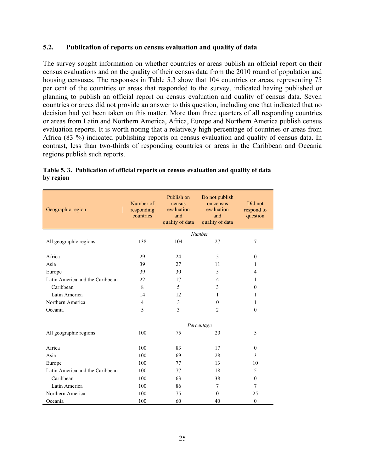#### **5.2. Publication of reports on census evaluation and quality of data**

The survey sought information on whether countries or areas publish an official report on their census evaluations and on the quality of their census data from the 2010 round of population and housing censuses. The responses in Table 5.3 show that 104 countries or areas, representing 75 per cent of the countries or areas that responded to the survey, indicated having published or planning to publish an official report on census evaluation and quality of census data. Seven countries or areas did not provide an answer to this question, including one that indicated that no decision had yet been taken on this matter. More than three quarters of all responding countries or areas from Latin and Northern America, Africa, Europe and Northern America publish census evaluation reports. It is worth noting that a relatively high percentage of countries or areas from Africa (83 %) indicated publishing reports on census evaluation and quality of census data. In contrast, less than two-thirds of responding countries or areas in the Caribbean and Oceania regions publish such reports.

| Geographic region               | Number of<br>responding<br>countries |     | Do not publish<br>on census<br>evaluation<br>and<br>quality of data | Did not<br>respond to<br>question |
|---------------------------------|--------------------------------------|-----|---------------------------------------------------------------------|-----------------------------------|
|                                 |                                      |     | Number                                                              |                                   |
| All geographic regions          | 138                                  | 104 | 27                                                                  | 7                                 |
|                                 |                                      |     |                                                                     |                                   |
| Africa                          | 29                                   | 24  | 5                                                                   | $\mathbf{0}$                      |
| Asia                            | 39                                   | 27  | 11                                                                  | 1                                 |
| Europe                          | 39                                   | 30  | 5                                                                   | $\overline{4}$                    |
| Latin America and the Caribbean | 22                                   | 17  | $\overline{4}$                                                      | 1                                 |
| Caribbean                       | 8                                    | 5   | 3                                                                   | $\theta$                          |
| Latin America                   | 14                                   | 12  | 1                                                                   | 1                                 |
| Northern America                | $\overline{4}$                       | 3   | $\mathbf{0}$                                                        | 1                                 |
| Oceania                         | 5                                    | 3   | $\overline{2}$                                                      | $\theta$                          |
|                                 |                                      |     |                                                                     |                                   |
|                                 |                                      |     | Percentage                                                          |                                   |
| All geographic regions          | 100                                  | 75  | 20                                                                  | 5                                 |
|                                 |                                      |     |                                                                     |                                   |
| Africa                          | 100                                  | 83  | 17                                                                  | $\theta$                          |
| Asia                            | 100                                  | 69  | 28                                                                  | 3                                 |
| Europe                          | 100                                  | 77  | 13                                                                  | 10                                |
| Latin America and the Caribbean | 100                                  | 77  | 18                                                                  | 5                                 |
| Caribbean                       | 100                                  | 63  | 38                                                                  | $\theta$                          |
| Latin America                   | 100                                  | 86  | $\overline{7}$                                                      | $\overline{7}$                    |
| Northern America                | 100                                  | 75  | $\theta$                                                            | 25                                |
| Oceania                         | 100                                  | 60  | 40                                                                  | $\mathbf{0}$                      |

#### **Table 5. 3. Publication of official reports on census evaluation and quality of data by region**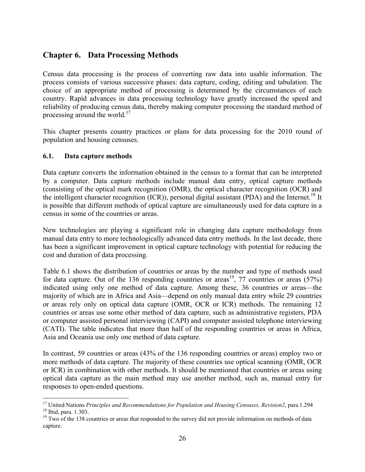# **Chapter 6. Data Processing Methods**

Census data processing is the process of converting raw data into usable information. The process consists of various successive phases: data capture, coding, editing and tabulation. The choice of an appropriate method of processing is determined by the circumstances of each country. Rapid advances in data processing technology have greatly increased the speed and reliability of producing census data, thereby making computer processing the standard method of processing around the world. $17$ 

This chapter presents country practices or plans for data processing for the 2010 round of population and housing censuses.

#### **6.1. Data capture methods**

<u>.</u>

Data capture converts the information obtained in the census to a format that can be interpreted by a computer. Data capture methods include manual data entry, optical capture methods (consisting of the optical mark recognition (OMR), the optical character recognition (OCR) and the intelligent character recognition (ICR)), personal digital assistant (PDA) and the Internet.<sup>18</sup> It is possible that different methods of optical capture are simultaneously used for data capture in a census in some of the countries or areas.

New technologies are playing a significant role in changing data capture methodology from manual data entry to more technologically advanced data entry methods. In the last decade, there has been a significant improvement in optical capture technology with potential for reducing the cost and duration of data processing.

Table 6.1 shows the distribution of countries or areas by the number and type of methods used for data capture. Out of the 136 responding countries or areas<sup>19</sup>, 77 countries or areas (57%) indicated using only one method of data capture. Among these, 36 countries or areas—the majority of which are in Africa and Asia—depend on only manual data entry while 29 countries or areas rely only on optical data capture (OMR, OCR or ICR) methods. The remaining 12 countries or areas use some other method of data capture, such as administrative registers, PDA or computer assisted personal interviewing (CAPI) and computer assisted telephone interviewing (CATI). The table indicates that more than half of the responding countries or areas in Africa, Asia and Oceania use only one method of data capture.

In contrast, 59 countries or areas (43% of the 136 responding countries or areas) employ two or more methods of data capture. The majority of these countries use optical scanning (OMR, OCR or ICR) in combination with other methods. It should be mentioned that countries or areas using optical data capture as the main method may use another method, such as, manual entry for responses to open-ended questions.

<sup>&</sup>lt;sup>17</sup> United Nations *Principles and Recommendations for Population and Housing Censuses, Revision2*, para.1.294 <sup>18</sup> Ibid, para. 1.303.

<sup>&</sup>lt;sup>19</sup> Two of the 138 countries or areas that responded to the survey did not provide information on methods of data capture.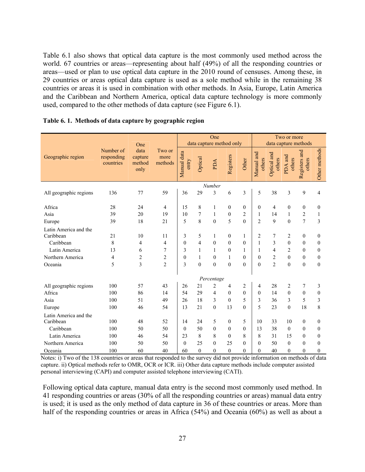Table 6.1 also shows that optical data capture is the most commonly used method across the world. 67 countries or areas—representing about half (49%) of all the responding countries or areas—used or plan to use optical data capture in the 2010 round of censuses. Among these, in 29 countries or areas optical data capture is used as a sole method while in the remaining 38 countries or areas it is used in combination with other methods. In Asia, Europe, Latin America and the Caribbean and Northern America, optical data capture technology is more commonly used, compared to the other methods of data capture (see Figure 6.1).

|                        |                                      | One                               |                           | One<br>data capture method only |                |                |              |          | Two or more<br>data capture methods |                       |                   |                         |               |
|------------------------|--------------------------------------|-----------------------------------|---------------------------|---------------------------------|----------------|----------------|--------------|----------|-------------------------------------|-----------------------|-------------------|-------------------------|---------------|
| Geographic region      | Number of<br>responding<br>countries | data<br>capture<br>method<br>only | Two or<br>more<br>methods | Manual data<br>entry            | Optical        | PDA            | Registers    | Other    | Manual and<br>others                | Optical and<br>others | PDA and<br>others | Registers and<br>others | Other methods |
|                        |                                      |                                   |                           |                                 |                | Number         |              |          |                                     |                       |                   |                         |               |
| All geographic regions | 136                                  | 77                                | 59                        | 36                              | 29             | 3              | 6            | 3        | 5                                   | 38                    | 3                 | 9                       | 4             |
| Africa                 | 28                                   | 24                                | 4                         | 15                              | 8              | 1              | $\Omega$     | $\Omega$ | $\theta$                            | $\overline{4}$        | $\theta$          | 0                       | $\theta$      |
| Asia                   | 39                                   | 20                                | 19                        | 10                              | 7              | 1              | $\mathbf{0}$ | 2        | 1                                   | 14                    | 1                 | $\overline{2}$          | 1             |
| Europe                 | 39                                   | 18                                | 21                        | 5                               | 8              | $\mathbf{0}$   | 5            | $\Omega$ | $\overline{2}$                      | 9                     | $\overline{0}$    | $\overline{7}$          | 3             |
| Latin America and the  |                                      |                                   |                           |                                 |                |                |              |          |                                     |                       |                   |                         |               |
| Caribbean              | 21                                   | 10                                | 11                        | 3                               | 5              | 1              | $\mathbf{0}$ | 1        | $\overline{c}$                      | 7                     | $\overline{2}$    | $\mathbf{0}$            | $\mathbf{0}$  |
| Caribbean              | 8                                    | 4                                 | 4                         | $\theta$                        | $\overline{4}$ | $\theta$       | $\Omega$     | $\Omega$ | 1                                   | 3                     | $\theta$          | $\theta$                | $\theta$      |
| Latin America          | 13                                   | 6                                 | 7                         | 3                               | $\mathbf{1}$   | 1              | $\theta$     | 1        | 1                                   | 4                     | $\overline{c}$    | $\theta$                | $\theta$      |
| Northern America       | 4                                    | $\overline{c}$                    | $\overline{c}$            | $\theta$                        | $\mathbf{1}$   | $\mathbf{0}$   | 1            | $\theta$ | $\theta$                            | $\overline{c}$        | $\theta$          | $\theta$                | $\mathbf{0}$  |
| Oceania                | 5                                    | 3                                 | $\overline{2}$            | 3                               | $\theta$       | $\theta$       | $\theta$     | $\Omega$ | $\Omega$                            | $\overline{2}$        | $\theta$          | $\theta$                | $\theta$      |
|                        |                                      |                                   |                           |                                 |                | Percentage     |              |          |                                     |                       |                   |                         |               |
| All geographic regions | 100                                  | 57                                | 43                        | 26                              | 21             | $\overline{c}$ | 4            | 2        | 4                                   | 28                    | 2                 | 7                       | 3             |
| Africa                 | 100                                  | 86                                | 14                        | 54                              | 29             | $\overline{4}$ | $\theta$     | $\theta$ | $\theta$                            | 14                    | $\theta$          | $\theta$                | $\mathbf{0}$  |
| Asia                   | 100                                  | 51                                | 49                        | 26                              | 18             | 3              | $\theta$     | 5        | 3                                   | 36                    | 3                 | 5                       | 3             |
| Europe                 | 100                                  | 46                                | 54                        | 13                              | 21             | $\theta$       | 13           | $\theta$ | 5                                   | 23                    | $\theta$          | 18                      | 8             |
| Latin America and the  |                                      |                                   |                           |                                 |                |                |              |          |                                     |                       |                   |                         |               |
| Caribbean              | 100                                  | 48                                | 52                        | 14                              | 24             | 5              | $\mathbf{0}$ | 5        | 10                                  | 33                    | 10                | $\boldsymbol{0}$        | $\mathbf{0}$  |
| Caribbean              | 100                                  | 50                                | 50                        | $\theta$                        | 50             | $\theta$       | $\Omega$     | $\theta$ | 13                                  | 38                    | $\Omega$          | $\Omega$                | $\theta$      |
| Latin America          | 100                                  | 46                                | 54                        | 23                              | 8              | 8              | $\theta$     | 8        | 8                                   | 31                    | 15                | $\theta$                | $\theta$      |
| Northern America       | 100                                  | 50                                | 50                        | $\Omega$                        | 25             | $\Omega$       | 25           | $\Omega$ | $\Omega$                            | 50                    | $\Omega$          | $\Omega$                | $\theta$      |
| Oceania                | 100                                  | 60                                | 40                        | 60                              | $\theta$       | $\theta$       | $\theta$     | $\Omega$ | $\Omega$                            | 40                    | $\theta$          | $\Omega$                | $\theta$      |

|  |  |  |  | Table 6.1. Methods of data capture by geographic region |
|--|--|--|--|---------------------------------------------------------|
|--|--|--|--|---------------------------------------------------------|

Notes: i) Two of the 138 countries or areas that responded to the survey did not provide information on methods of data capture. ii) Optical methods refer to OMR, OCR or ICR. iii) Other data capture methods include computer assisted personal interviewing (CAPI) and computer assisted telephone interviewing (CATI).

Following optical data capture, manual data entry is the second most commonly used method. In 41 responding countries or areas (30% of all the responding countries or areas) manual data entry is used; it is used as the only method of data capture in 36 of these countries or areas. More than half of the responding countries or areas in Africa (54%) and Oceania (60%) as well as about a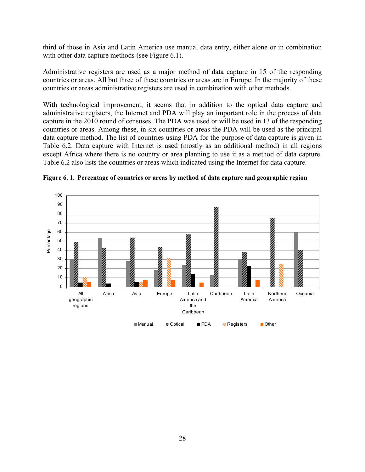third of those in Asia and Latin America use manual data entry, either alone or in combination with other data capture methods (see Figure 6.1).

Administrative registers are used as a major method of data capture in 15 of the responding countries or areas. All but three of these countries or areas are in Europe. In the majority of these countries or areas administrative registers are used in combination with other methods.

With technological improvement, it seems that in addition to the optical data capture and administrative registers, the Internet and PDA will play an important role in the process of data capture in the 2010 round of censuses. The PDA was used or will be used in 13 of the responding countries or areas. Among these, in six countries or areas the PDA will be used as the principal data capture method. The list of countries using PDA for the purpose of data capture is given in Table 6.2. Data capture with Internet is used (mostly as an additional method) in all regions except Africa where there is no country or area planning to use it as a method of data capture. Table 6.2 also lists the countries or areas which indicated using the Internet for data capture.



**Figure 6. 1. Percentage of countries or areas by method of data capture and geographic region**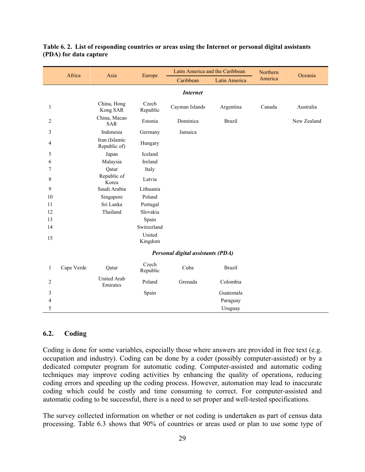|              |            |                               |                   | Latin America and the Caribbean   |               | Northern |             |
|--------------|------------|-------------------------------|-------------------|-----------------------------------|---------------|----------|-------------|
|              | Africa     | Asia                          | Europe            | Caribbean                         | Latin America | America  | Oceania     |
|              |            |                               |                   | <b>Internet</b>                   |               |          |             |
| $\mathbf{1}$ |            | China, Hong<br>Kong SAR       | Czech<br>Republic | Cayman Islands                    | Argentina     | Canada   | Australia   |
| 2            |            | China, Macao<br><b>SAR</b>    | Estonia           | Dominica                          | <b>Brazil</b> |          | New Zealand |
| 3            |            | Indonesia                     | Germany           | Jamaica                           |               |          |             |
| 4            |            | Iran (Islamic<br>Republic of) | Hungary           |                                   |               |          |             |
| 5            |            | Japan                         | Iceland           |                                   |               |          |             |
| 6            |            | Malaysia                      | Ireland           |                                   |               |          |             |
| 7            |            | Qatar                         | Italy             |                                   |               |          |             |
| 8            |            | Republic of<br>Korea          | Latvia            |                                   |               |          |             |
| 9            |            | Saudi Arabia                  | Lithuania         |                                   |               |          |             |
| 10           |            | Singapore                     | Poland            |                                   |               |          |             |
| 11           |            | Sri Lanka                     | Portugal          |                                   |               |          |             |
| 12           |            | Thailand                      | Slovakia          |                                   |               |          |             |
| 13           |            |                               | Spain             |                                   |               |          |             |
| 14           |            |                               | Switzerland       |                                   |               |          |             |
| 15           |            |                               | United<br>Kingdom |                                   |               |          |             |
|              |            |                               |                   | Personal digital assistants (PDA) |               |          |             |
| $\mathbf{1}$ | Cape Verde | Qatar                         | Czech<br>Republic | Cuba                              | <b>Brazil</b> |          |             |
| 2            |            | United Arab<br>Emirates       | Poland            | Grenada                           | Colombia      |          |             |
| 3            |            |                               | Spain             |                                   | Guatemala     |          |             |
| 4            |            |                               |                   |                                   | Paraguay      |          |             |
| 5            |            |                               |                   |                                   | Uruguay       |          |             |

#### **Table 6. 2. List of responding countries or areas using the Internet or personal digital assistants (PDA) for data capture**

## **6.2. Coding**

Coding is done for some variables, especially those where answers are provided in free text (e.g. occupation and industry). Coding can be done by a coder (possibly computer-assisted) or by a dedicated computer program for automatic coding. Computer-assisted and automatic coding techniques may improve coding activities by enhancing the quality of operations, reducing coding errors and speeding up the coding process. However, automation may lead to inaccurate coding which could be costly and time consuming to correct. For computer-assisted and automatic coding to be successful, there is a need to set proper and well-tested specifications.

The survey collected information on whether or not coding is undertaken as part of census data processing. Table 6.3 shows that 90% of countries or areas used or plan to use some type of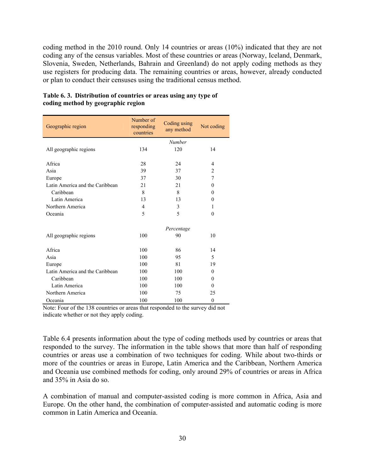coding method in the 2010 round. Only 14 countries or areas (10%) indicated that they are not coding any of the census variables. Most of these countries or areas (Norway, Iceland, Denmark, Slovenia, Sweden, Netherlands, Bahrain and Greenland) do not apply coding methods as they use registers for producing data. The remaining countries or areas, however, already conducted or plan to conduct their censuses using the traditional census method.

| Geographic region               | Number of<br>responding<br>countries | Coding using<br>any method | Not coding     |
|---------------------------------|--------------------------------------|----------------------------|----------------|
|                                 |                                      | Number                     |                |
| All geographic regions          | 134                                  | 120                        | 14             |
| Africa                          | 28                                   | 24                         | 4              |
| Asia                            | 39                                   | 37                         | $\overline{2}$ |
| Europe                          | 37                                   | 30                         | $\tau$         |
| Latin America and the Caribbean | 21                                   | 21                         | $\theta$       |
| Caribbean                       | 8                                    | 8                          | $\theta$       |
| Latin America                   | 13                                   | 13                         | $\theta$       |
| Northern America                | 4                                    | 3                          | 1              |
| Oceania                         | 5                                    | 5                          | $\theta$       |
|                                 |                                      | Percentage                 |                |
| All geographic regions          | 100                                  | 90                         | 10             |
| Africa                          | 100                                  | 86                         | 14             |
| Asia                            | 100                                  | 95                         | 5              |
| Europe                          | 100                                  | 81                         | 19             |
| Latin America and the Caribbean | 100                                  | 100                        | $\theta$       |
| Caribbean                       | 100                                  | 100                        | $\theta$       |
| Latin America                   | 100                                  | 100                        | $\theta$       |
| Northern America                | 100                                  | 75                         | 25             |
| Oceania                         | 100                                  | 100                        | $\theta$       |

#### **Table 6. 3. Distribution of countries or areas using any type of coding method by geographic region**

Note: Four of the 138 countries or areas that responded to the survey did not indicate whether or not they apply coding.

Table 6.4 presents information about the type of coding methods used by countries or areas that responded to the survey. The information in the table shows that more than half of responding countries or areas use a combination of two techniques for coding. While about two-thirds or more of the countries or areas in Europe, Latin America and the Caribbean, Northern America and Oceania use combined methods for coding, only around 29% of countries or areas in Africa and 35% in Asia do so.

A combination of manual and computer-assisted coding is more common in Africa, Asia and Europe. On the other hand, the combination of computer-assisted and automatic coding is more common in Latin America and Oceania.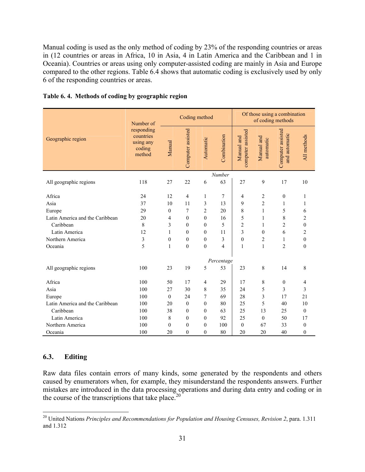Manual coding is used as the only method of coding by 23% of the responding countries or areas in (12 countries or areas in Africa, 10 in Asia, 4 in Latin America and the Caribbean and 1 in Oceania). Countries or areas using only computer-assisted coding are mainly in Asia and Europe compared to the other regions. Table 6.4 shows that automatic coding is exclusively used by only 6 of the responding countries or areas.

|                                 | Number of                                                |              | Coding method     |                  |             | Of those using a combination<br>of coding methods |                         |                                    |                  |
|---------------------------------|----------------------------------------------------------|--------------|-------------------|------------------|-------------|---------------------------------------------------|-------------------------|------------------------------------|------------------|
| Geographic region               | responding<br>countries<br>using any<br>coding<br>method | Manual       | Computer assisted | Automatic        | Combination | computer assisted<br>Manual and                   | Manual and<br>automatic | Computer assisted<br>and automatic | All methods      |
|                                 |                                                          |              |                   |                  | Number      |                                                   |                         |                                    |                  |
| All geographic regions          | 118                                                      | 27           | 22                | 6                | 63          | 27                                                | 9                       | 17                                 | 10               |
| Africa                          | 24                                                       | 12           | 4                 | $\mathbf{1}$     | 7           | 4                                                 | $\overline{2}$          | $\boldsymbol{0}$                   | 1                |
| Asia                            | 37                                                       | 10           | 11                | 3                | 13          | 9                                                 | 2                       | 1                                  | 1                |
| Europe                          | 29                                                       | $\theta$     | 7                 | $\overline{c}$   | 20          | 8                                                 | 1                       | 5                                  | 6                |
| Latin America and the Caribbean | 20                                                       | 4            | $\mathbf{0}$      | $\boldsymbol{0}$ | 16          | 5                                                 | 1                       | $\,$ 8 $\,$                        | $\overline{c}$   |
| Caribbean                       | 8                                                        | 3            | $\theta$          | $\mathbf{0}$     | 5           | $\overline{c}$                                    | 1                       | $\overline{c}$                     | $\mathbf{0}$     |
| Latin America                   | 12                                                       | 1            | $\theta$          | $\boldsymbol{0}$ | 11          | 3                                                 | 0                       | 6                                  | $\overline{c}$   |
| Northern America                | 3                                                        | $\mathbf{0}$ | $\overline{0}$    | $\boldsymbol{0}$ | 3           | $\mathbf{0}$                                      | 2                       | 1                                  | $\boldsymbol{0}$ |
| Oceania                         | 5                                                        | 1            | $\theta$          | $\mathbf{0}$     | 4           | $\mathbf{1}$                                      | $\mathbf{1}$            | $\overline{2}$                     | $\mathbf{0}$     |
|                                 |                                                          |              |                   |                  | Percentage  |                                                   |                         |                                    |                  |
| All geographic regions          | 100                                                      | 23           | 19                | 5                | 53          | 23                                                | 8                       | 14                                 | 8                |
| Africa                          | 100                                                      | 50           | 17                | 4                | 29          | 17                                                | 8                       | $\boldsymbol{0}$                   | 4                |
| Asia                            | 100                                                      | 27           | 30                | 8                | 35          | 24                                                | 5                       | 3                                  | 3                |
| Europe                          | 100                                                      | $\theta$     | 24                | 7                | 69          | 28                                                | 3                       | 17                                 | 21               |
| Latin America and the Caribbean | 100                                                      | 20           | $\mathbf{0}$      | $\boldsymbol{0}$ | 80          | 25                                                | 5                       | 40                                 | 10               |
| Caribbean                       | 100                                                      | 38           | $\theta$          | $\mathbf{0}$     | 63          | 25                                                | 13                      | 25                                 | $\theta$         |
| Latin America                   | 100                                                      | 8            | 0                 | $\boldsymbol{0}$ | 92          | 25                                                | $\mathbf{0}$            | 50                                 | 17               |
| Northern America                | 100                                                      | $\theta$     | $\theta$          | $\boldsymbol{0}$ | 100         | $\overline{0}$                                    | 67                      | 33                                 | $\mathbf{0}$     |
| Oceania                         | 100                                                      | 20           | $\theta$          | $\mathbf{0}$     | 80          | 20                                                | 20                      | 40                                 | $\mathbf{0}$     |

#### **Table 6. 4. Methods of coding by geographic region**

#### **6.3. Editing**

 $\overline{a}$ 

Raw data files contain errors of many kinds, some generated by the respondents and others caused by enumerators when, for example, they misunderstand the respondents answers. Further mistakes are introduced in the data processing operations and during data entry and coding or in the course of the transcriptions that take place.<sup>20</sup>

<sup>&</sup>lt;sup>20</sup> United Nations *Principles and Recommendations for Population and Housing Censuses, Revision 2, para. 1.311* and 1.312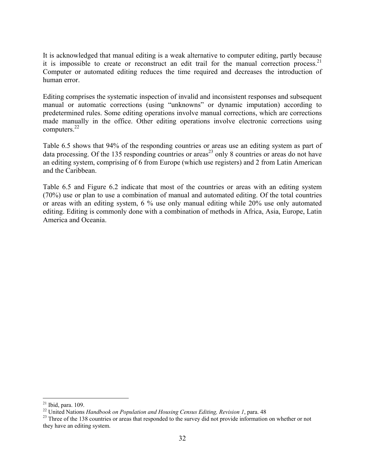It is acknowledged that manual editing is a weak alternative to computer editing, partly because it is impossible to create or reconstruct an edit trail for the manual correction process.<sup>21</sup> Computer or automated editing reduces the time required and decreases the introduction of human error.

Editing comprises the systematic inspection of invalid and inconsistent responses and subsequent manual or automatic corrections (using "unknowns" or dynamic imputation) according to predetermined rules. Some editing operations involve manual corrections, which are corrections made manually in the office. Other editing operations involve electronic corrections using computers. $^{22}$ 

Table 6.5 shows that 94% of the responding countries or areas use an editing system as part of data processing. Of the 135 responding countries or areas<sup>23</sup> only 8 countries or areas do not have an editing system, comprising of 6 from Europe (which use registers) and 2 from Latin American and the Caribbean.

Table 6.5 and Figure 6.2 indicate that most of the countries or areas with an editing system (70%) use or plan to use a combination of manual and automated editing. Of the total countries or areas with an editing system, 6 % use only manual editing while 20% use only automated editing. Editing is commonly done with a combination of methods in Africa, Asia, Europe, Latin America and Oceania.

 $\overline{a}$  $21$  Ibid, para. 109.

<sup>&</sup>lt;sup>22</sup> United Nations *Handbook on Population and Housing Census Editing, Revision 1*, para. 48<br><sup>23</sup> Three of the 138 countries or areas that responded to the survey did not provide information on whether or not they have an editing system.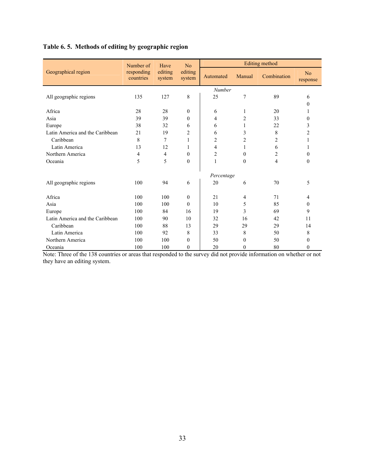# **Table 6. 5. Methods of editing by geographic region**

|                                 | Number of               | Have                                   | No             |                |                  | Editing method |                |
|---------------------------------|-------------------------|----------------------------------------|----------------|----------------|------------------|----------------|----------------|
| Geographical region             | responding<br>countries | editing<br>editing<br>system<br>system |                | Automated      | Manual           | Combination    | No<br>response |
|                                 |                         |                                        |                | Number         |                  |                |                |
| All geographic regions          | 135                     | 127                                    | 8              | 25             | 7                | 89             | 6              |
|                                 |                         |                                        |                |                |                  |                | $\Omega$       |
| Africa                          | 28                      | 28                                     | $\Omega$       | 6              | 1                | 20             |                |
| Asia                            | 39                      | 39                                     | $\theta$       | 4              | 2                | 33             | $\theta$       |
| Europe                          | 38                      | 32                                     | 6              | 6              | 1                | 22             | 3              |
| Latin America and the Caribbean | 2.1                     | 19                                     | $\overline{c}$ | 6              | 3                | 8              | $\overline{c}$ |
| Caribbean                       | 8                       | 7                                      | 1              | $\overline{c}$ | $\overline{c}$   | $\overline{c}$ |                |
| Latin America                   | 13                      | 12                                     | 1              | 4              | 1                | 6              |                |
| Northern America                | 4                       | 4                                      | $\Omega$       | $\overline{c}$ | $\boldsymbol{0}$ | 2              | $\Omega$       |
| Oceania                         | 5                       | 5                                      | $\theta$       | $\mathbf{1}$   | $\mathbf{0}$     | $\overline{4}$ | $\Omega$       |
|                                 |                         |                                        |                | Percentage     |                  |                |                |
| All geographic regions          | 100                     | 94                                     | 6              | 20             | 6                | 70             | 5              |
| Africa                          | 100                     | 100                                    | $\mathbf{0}$   | 21             | $\overline{4}$   | 71             | 4              |
| Asia                            | 100                     | 100                                    | $\theta$       | 10             | 5                | 85             | $\Omega$       |
| Europe                          | 100                     | 84                                     | 16             | 19             | 3                | 69             | 9              |
| Latin America and the Caribbean | 100                     | 90                                     | 10             | 32             | 16               | 42             | 11             |
| Caribbean                       | 100                     | 88                                     | 13             | 29             | 29               | 29             | 14             |
| Latin America                   | 100                     | 92                                     | 8              | 33             | 8                | 50             | 8              |
| Northern America                | 100                     | 100                                    | $\theta$       | 50             | $\theta$         | 50             | $\Omega$       |
| Oceania                         | 100                     | 100                                    | $\mathbf{0}$   | 20             | $\mathbf{0}$     | 80             | $\theta$       |

Note: Three of the 138 countries or areas that responded to the survey did not provide information on whether or not they have an editing system.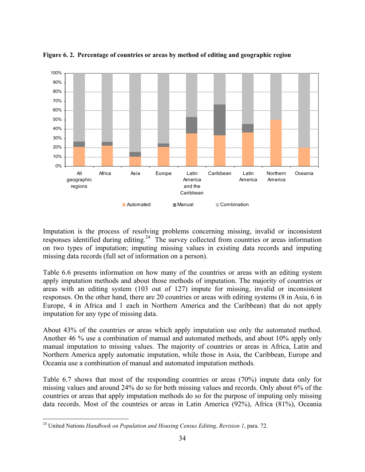

**Figure 6. 2. Percentage of countries or areas by method of editing and geographic region** 

Imputation is the process of resolving problems concerning missing, invalid or inconsistent responses identified during editing.<sup>24</sup> The survey collected from countries or areas information on two types of imputation; imputing missing values in existing data records and imputing missing data records (full set of information on a person).

Table 6.6 presents information on how many of the countries or areas with an editing system apply imputation methods and about those methods of imputation. The majority of countries or areas with an editing system (103 out of 127) impute for missing, invalid or inconsistent responses. On the other hand, there are 20 countries or areas with editing systems (8 in Asia, 6 in Europe, 4 in Africa and 1 each in Northern America and the Caribbean) that do not apply imputation for any type of missing data.

About 43% of the countries or areas which apply imputation use only the automated method. Another 46 % use a combination of manual and automated methods, and about 10% apply only manual imputation to missing values. The majority of countries or areas in Africa, Latin and Northern America apply automatic imputation, while those in Asia, the Caribbean, Europe and Oceania use a combination of manual and automated imputation methods.

Table 6.7 shows that most of the responding countries or areas (70%) impute data only for missing values and around 24% do so for both missing values and records. Only about 6% of the countries or areas that apply imputation methods do so for the purpose of imputing only missing data records. Most of the countries or areas in Latin America (92%), Africa (81%), Oceania

<u>.</u>

<sup>24</sup> United Nations *Handbook on Population and Housing Census Editing, Revision 1*, para. 72.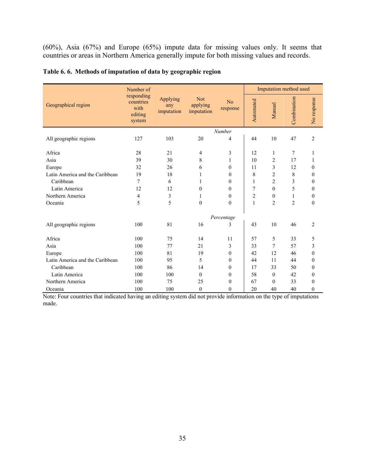(60%), Asia (67%) and Europe (65%) impute data for missing values only. It seems that countries or areas in Northern America generally impute for both missing values and records.

|                                 | Number of                                            |                               |                                      |                  |                | Imputation method used |                |                  |
|---------------------------------|------------------------------------------------------|-------------------------------|--------------------------------------|------------------|----------------|------------------------|----------------|------------------|
| Geographical region             | responding<br>countries<br>with<br>editing<br>system | Applying<br>any<br>imputation | <b>Not</b><br>applying<br>imputation | No<br>response   | Automated      | Manual                 | Combination    | No response      |
|                                 |                                                      |                               |                                      | Number           |                |                        |                |                  |
| All geographic regions          | 127                                                  | 103                           | 20                                   | 4                | 44             | 10                     | 47             | $\overline{c}$   |
|                                 |                                                      |                               |                                      |                  |                |                        |                |                  |
| Africa                          | 28                                                   | 21                            | 4                                    | 3                | 12             | 1                      | 7              | 1                |
| Asia                            | 39                                                   | 30                            | 8                                    | 1                | 10             | $\overline{c}$         | 17             | 1                |
| Europe                          | 32                                                   | 26                            | 6                                    | $\theta$         | 11             | 3                      | 12             | $\boldsymbol{0}$ |
| Latin America and the Caribbean | 19                                                   | 18                            | 1                                    | $\theta$         | 8              | $\overline{c}$         | $\,$ 8 $\,$    | $\boldsymbol{0}$ |
| Caribbean                       | 7                                                    | 6                             | 1                                    | $\theta$         | 1              | $\overline{c}$         | 3              | 0                |
| Latin America                   | 12                                                   | 12                            | $\mathbf{0}$                         | $\mathbf{0}$     | 7              | $\theta$               | 5              | $\boldsymbol{0}$ |
| Northern America                | $\overline{4}$                                       | 3                             | 1                                    | $\mathbf{0}$     | $\overline{c}$ | $\mathbf{0}$           | 1              | $\boldsymbol{0}$ |
| Oceania                         | 5                                                    | 5                             | $\mathbf{0}$                         | $\theta$         | $\mathbf{1}$   | $\overline{2}$         | $\overline{c}$ | $\mathbf{0}$     |
|                                 |                                                      |                               |                                      | Percentage       |                |                        |                |                  |
| All geographic regions          | 100                                                  | 81                            | 16                                   | 3                | 43             | 10                     | 46             | 2                |
| Africa                          | 100                                                  | 75                            | 14                                   | 11               | 57             | 5                      | 33             | 5                |
| Asia                            | 100                                                  | 77                            | 21                                   | 3                | 33             | 7                      | 57             | 3                |
| Europe                          | 100                                                  | 81                            | 19                                   | $\mathbf{0}$     | 42             | 12                     | 46             | $\boldsymbol{0}$ |
| Latin America and the Caribbean | 100                                                  | 95                            | 5                                    | $\theta$         | 44             | 11                     | 44             | 0                |
| Caribbean                       | 100                                                  | 86                            | 14                                   | $\mathbf{0}$     | 17             | 33                     | 50             | $\boldsymbol{0}$ |
| Latin America                   | 100                                                  | 100                           | $\mathbf{0}$                         | $\boldsymbol{0}$ | 58             | $\mathbf{0}$           | 42             | $\boldsymbol{0}$ |
| Northern America                | 100                                                  | 75                            | 25                                   | $\theta$         | 67             | $\Omega$               | 33             | $\boldsymbol{0}$ |
| Oceania                         | 100                                                  | 100                           | $\mathbf{0}$                         | $\theta$         | 20             | 40                     | 40             | $\boldsymbol{0}$ |

#### **Table 6. 6. Methods of imputation of data by geographic region**

Note: Four countries that indicated having an editing system did not provide information on the type of imputations made.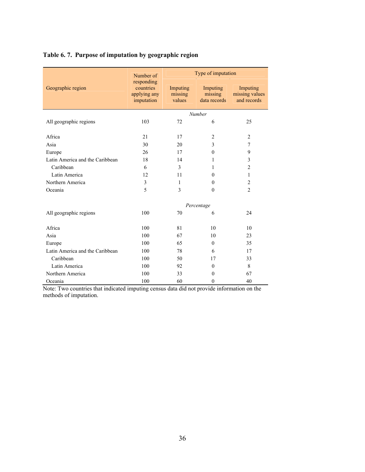# **Table 6. 7. Purpose of imputation by geographic region**

|                                 | Number of                                             | Type of imputation            |                                     |                                           |  |  |  |
|---------------------------------|-------------------------------------------------------|-------------------------------|-------------------------------------|-------------------------------------------|--|--|--|
| Geographic region               | responding<br>countries<br>applying any<br>imputation | Imputing<br>missing<br>values | Imputing<br>missing<br>data records | Imputing<br>missing values<br>and records |  |  |  |
|                                 |                                                       |                               | Number                              |                                           |  |  |  |
| All geographic regions          | 103                                                   | 72                            | 6                                   | 25                                        |  |  |  |
| Africa                          | 21                                                    | 17                            | $\overline{2}$                      | $\overline{2}$                            |  |  |  |
| Asia                            | 30                                                    | 20                            | 3                                   | $\overline{7}$                            |  |  |  |
| Europe                          | 26                                                    | 17                            | $\theta$                            | 9                                         |  |  |  |
| Latin America and the Caribbean | 18                                                    | 14                            | 1                                   | 3                                         |  |  |  |
| Caribbean                       | 6                                                     | 3                             | 1                                   | $\overline{2}$                            |  |  |  |
| Latin America                   | 12                                                    | 11                            | $\Omega$                            | 1                                         |  |  |  |
| Northern America                | 3                                                     | 1                             | $\theta$                            | $\overline{2}$                            |  |  |  |
| Oceania                         | 5                                                     | 3                             | $\theta$                            | $\overline{2}$                            |  |  |  |
|                                 |                                                       |                               | Percentage                          |                                           |  |  |  |
| All geographic regions          | 100                                                   | 70                            | 6                                   | 24                                        |  |  |  |
| Africa                          | 100                                                   | 81                            | 10                                  | 10                                        |  |  |  |
| Asia                            | 100                                                   | 67                            | 10                                  | 23                                        |  |  |  |
| Europe                          | 100                                                   | 65                            | $\Omega$                            | 35                                        |  |  |  |
| Latin America and the Caribbean | 100                                                   | 78                            | 6                                   | 17                                        |  |  |  |
| Caribbean                       | 100                                                   | 50                            | 17                                  | 33                                        |  |  |  |
| Latin America                   | 100                                                   | 92                            | $\theta$                            | 8                                         |  |  |  |
| Northern America                | 100                                                   | 33                            | $\theta$                            | 67                                        |  |  |  |
| Oceania                         | 100                                                   | 60                            | $\mathbf{0}$                        | 40                                        |  |  |  |

Note: Two countries that indicated imputing census data did not provide information on the methods of imputation.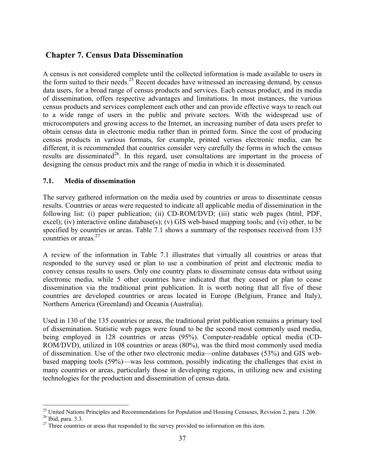# **Chapter 7. Census Data Dissemination**

A census is not considered complete until the collected information is made available to users in the form suited to their needs.<sup>25</sup> Recent decades have witnessed an increasing demand, by census data users, for a broad range of census products and services. Each census product, and its media of dissemination, offers respective advantages and limitations. In most instances, the various census products and services complement each other and can provide effective ways to reach out to a wide range of users in the public and private sectors. With the widespread use of microcomputers and growing access to the Internet, an increasing number of data users prefer to obtain census data in electronic media rather than in printed form. Since the cost of producing census products in various formats, for example, printed versus electronic media, can be different, it is recommended that countries consider very carefully the forms in which the census results are disseminated<sup>26</sup>. In this regard, user consultations are important in the process of designing the census product mix and the range of media in which it is disseminated.

#### **7.1. Media of dissemination**

The survey gathered information on the media used by countries or areas to disseminate census results. Countries or areas were requested to indicate all applicable media of dissemination in the following list: (i) paper publication; (ii) CD-ROM/DVD; (iii) static web pages (html, PDF, excel); (iv) interactive online database(s); (v) GIS web-based mapping tools; and (vi) other, to be specified by countries or areas. Table 7.1 shows a summary of the responses received from 135 countries or areas.27

A review of the information in Table 7.1 illustrates that virtually all countries or areas that responded to the survey used or plan to use a combination of print and electronic media to convey census results to users. Only one country plans to disseminate census data without using electronic media, while 5 other countries have indicated that they ceased or plan to cease dissemination via the traditional print publication. It is worth noting that all five of these countries are developed countries or areas located in Europe (Belgium, France and Italy), Northern America (Greenland) and Oceania (Australia).

Used in 130 of the 135 countries or areas, the traditional print publication remains a primary tool of dissemination. Statistic web pages were found to be the second most commonly used media, being employed in 128 countries or areas (95%). Computer-readable optical media (CD-ROM/DVD), utilized in 108 countries or areas (80%), was the third most commonly used media of dissemination. Use of the other two electronic media—online databases (53%) and GIS webbased mapping tools (59%)—was less common, possibly indicating the challenges that exist in many countries or areas, particularly those in developing regions, in utilizing new and existing technologies for the production and dissemination of census data.

1

 $^{25}$  United Nations Principles and Recommendations for Population and Housing Censuses, Revision 2, para. 1.206.  $^{26}$  Ibid, para. 3.3.

 $27$  Three countries or areas that responded to the survey provided no information on this item.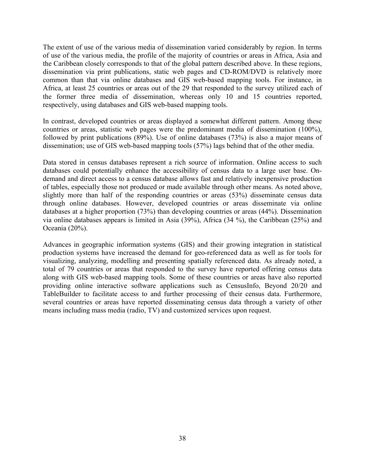The extent of use of the various media of dissemination varied considerably by region. In terms of use of the various media, the profile of the majority of countries or areas in Africa, Asia and the Caribbean closely corresponds to that of the global pattern described above. In these regions, dissemination via print publications, static web pages and CD-ROM/DVD is relatively more common than that via online databases and GIS web-based mapping tools. For instance, in Africa, at least 25 countries or areas out of the 29 that responded to the survey utilized each of the former three media of dissemination, whereas only 10 and 15 countries reported, respectively, using databases and GIS web-based mapping tools.

In contrast, developed countries or areas displayed a somewhat different pattern. Among these countries or areas, statistic web pages were the predominant media of dissemination (100%), followed by print publications (89%). Use of online databases (73%) is also a major means of dissemination; use of GIS web-based mapping tools (57%) lags behind that of the other media.

Data stored in census databases represent a rich source of information. Online access to such databases could potentially enhance the accessibility of census data to a large user base. Ondemand and direct access to a census database allows fast and relatively inexpensive production of tables, especially those not produced or made available through other means. As noted above, slightly more than half of the responding countries or areas (53%) disseminate census data through online databases. However, developed countries or areas disseminate via online databases at a higher proportion (73%) than developing countries or areas (44%). Dissemination via online databases appears is limited in Asia (39%), Africa (34 %), the Caribbean (25%) and Oceania (20%).

Advances in geographic information systems (GIS) and their growing integration in statistical production systems have increased the demand for geo-referenced data as well as for tools for visualizing, analyzing, modelling and presenting spatially referenced data. As already noted, a total of 79 countries or areas that responded to the survey have reported offering census data along with GIS web-based mapping tools. Some of these countries or areas have also reported providing online interactive software applications such as CensusInfo, Beyond 20/20 and TableBuilder to facilitate access to and further processing of their census data. Furthermore, several countries or areas have reported disseminating census data through a variety of other means including mass media (radio, TV) and customized services upon request.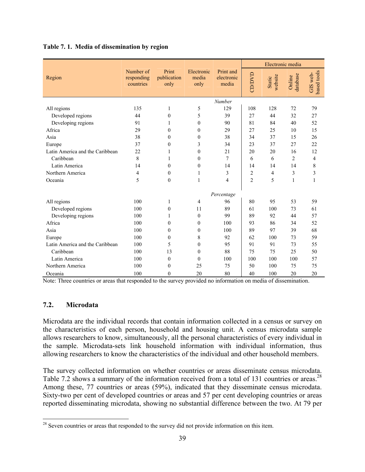|                                 |                                      |                              |                             |                                  |                | Electronic media         |                    |                         |
|---------------------------------|--------------------------------------|------------------------------|-----------------------------|----------------------------------|----------------|--------------------------|--------------------|-------------------------|
| Region                          | Number of<br>responding<br>countries | Print<br>publication<br>only | Electronic<br>media<br>only | Print and<br>electronic<br>media | CD/DVD         | website<br><b>Static</b> | database<br>Online | based tools<br>GIS web- |
|                                 |                                      |                              |                             | Number                           |                |                          |                    |                         |
| All regions                     | 135                                  | 1                            | 5                           | 129                              | 108            | 128                      | 72                 | 79                      |
| Developed regions               | 44                                   | $\theta$                     | 5                           | 39                               | 27             | 44                       | 32                 | 27                      |
| Developing regions              | 91                                   | 1                            | $\boldsymbol{0}$            | 90                               | 81             | 84                       | 40                 | 52                      |
| Africa                          | 29                                   | $\theta$                     | $\theta$                    | 29                               | 27             | 25                       | 10                 | 15                      |
| Asia                            | 38                                   | $\theta$                     | $\theta$                    | 38                               | 34             | 37                       | 15                 | 26                      |
| Europe                          | 37                                   | $\mathbf{0}$                 | 3                           | 34                               | 23             | 37                       | 27                 | 22                      |
| Latin America and the Caribbean | 22                                   | 1                            | $\theta$                    | 21                               | 20             | 20                       | 16                 | 12                      |
| Caribbean                       | 8                                    | 1                            | $\boldsymbol{0}$            | 7                                | 6              | 6                        | $\overline{c}$     | 4                       |
| Latin America                   | 14                                   | $\theta$                     | $\boldsymbol{0}$            | 14                               | 14             | 14                       | 14                 | 8                       |
| Northern America                | 4                                    | $\theta$                     | 1                           | 3                                | $\overline{2}$ | 4                        | 3                  | 3                       |
| Oceania                         | 5                                    | $\theta$                     | 1                           | 4                                | $\overline{2}$ | 5                        | 1                  | $\mathbf{1}$            |
|                                 |                                      |                              |                             | Percentage                       |                |                          |                    |                         |
| All regions                     | 100                                  | 1                            | 4                           | 96                               | 80             | 95                       | 53                 | 59                      |
| Developed regions               | 100                                  | $\boldsymbol{0}$             | 11                          | 89                               | 61             | 100                      | 73                 | 61                      |
| Developing regions              | 100                                  | 1                            | $\mathbf{0}$                | 99                               | 89             | 92                       | 44                 | 57                      |
| Africa                          | 100                                  | $\theta$                     | $\boldsymbol{0}$            | 100                              | 93             | 86                       | 34                 | 52                      |
| Asia                            | 100                                  | $\theta$                     | $\theta$                    | 100                              | 89             | 97                       | 39                 | 68                      |
| Europe                          | 100                                  | $\theta$                     | 8                           | 92                               | 62             | 100                      | 73                 | 59                      |
| Latin America and the Caribbean | 100                                  | 5                            | $\mathbf{0}$                | 95                               | 91             | 91                       | 73                 | 55                      |
| Caribbean                       | 100                                  | 13                           | $\theta$                    | 88                               | 75             | 75                       | 25                 | 50                      |
| Latin America                   | 100                                  | $\mathbf{0}$                 | $\mathbf{0}$                | 100                              | 100            | 100                      | 100                | 57                      |
| Northern America                | 100                                  | $\theta$                     | 25                          | 75                               | 50             | 100                      | 75                 | 75                      |
| Oceania                         | 100                                  | $\theta$                     | 20                          | 80                               | 40             | 100                      | 20                 | 20                      |

**Table 7. 1. Media of dissemination by region** 

Note: Three countries or areas that responded to the survey provided no information on media of dissemination.

## **7.2. Microdata**

<u>.</u>

Microdata are the individual records that contain information collected in a census or survey on the characteristics of each person, household and housing unit. A census microdata sample allows researchers to know, simultaneously, all the personal characteristics of every individual in the sample. Microdata-sets link household information with individual information, thus allowing researchers to know the characteristics of the individual and other household members.

The survey collected information on whether countries or areas disseminate census microdata. Table 7.2 shows a summary of the information received from a total of 131 countries or areas.<sup>28</sup> Among these, 77 countries or areas (59%), indicated that they disseminate census microdata. Sixty-two per cent of developed countries or areas and 57 per cent developing countries or areas reported disseminating microdata, showing no substantial difference between the two. At 79 per

 $2<sup>28</sup>$  Seven countries or areas that responded to the survey did not provide information on this item.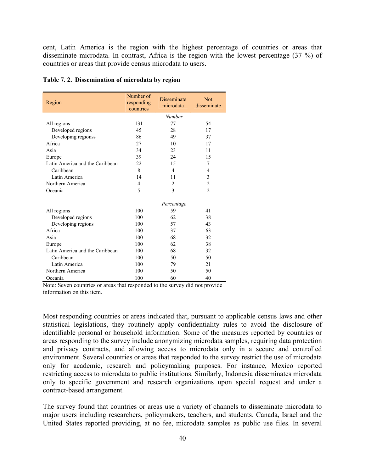cent, Latin America is the region with the highest percentage of countries or areas that disseminate microdata. In contrast, Africa is the region with the lowest percentage (37 %) of countries or areas that provide census microdata to users.

| Region                          | Number of<br>responding<br>countries | <b>Disseminate</b><br>microdata | <b>Not</b><br>disseminate |
|---------------------------------|--------------------------------------|---------------------------------|---------------------------|
|                                 |                                      | Number                          |                           |
| All regions                     | 131                                  | 77                              | 54                        |
| Developed regions               | 45                                   | 28                              | 17                        |
| Developing regionss             | 86                                   | 49                              | 37                        |
| Africa                          | 27                                   | 10                              | 17                        |
| Asia                            | 34                                   | 23                              | 11                        |
| Europe                          | 39                                   | 24                              | 15                        |
| Latin America and the Caribbean | 22                                   | 15                              | 7                         |
| Caribbean                       | 8                                    | 4                               | 4                         |
| Latin America                   | 14                                   | 11                              | 3                         |
| Northern America                | $\overline{4}$                       | $\overline{2}$                  | $\overline{c}$            |
| Oceania                         | 5                                    | 3                               | $\overline{2}$            |
|                                 |                                      | Percentage                      |                           |
| All regions                     | 100                                  | 59                              | 41                        |
| Developed regions               | 100                                  | 62                              | 38                        |
| Developing regions              | 100                                  | 57                              | 43                        |
| Africa                          | 100                                  | 37                              | 63                        |
| Asia                            | 100                                  | 68                              | 32                        |
| Europe                          | 100                                  | 62                              | 38                        |
| Latin America and the Caribbean | 100                                  | 68                              | 32                        |
| Caribbean                       | 100                                  | 50                              | 50                        |
| Latin America                   | 100                                  | 79                              | 21                        |
| Northern America                | 100                                  | 50                              | 50                        |
| Oceania                         | 100                                  | 60                              | 40                        |

#### **Table 7. 2. Dissemination of microdata by region**

Note: Seven countries or areas that responded to the survey did not provide information on this item.

Most responding countries or areas indicated that, pursuant to applicable census laws and other statistical legislations, they routinely apply confidentiality rules to avoid the disclosure of identifiable personal or household information. Some of the measures reported by countries or areas responding to the survey include anonymizing microdata samples, requiring data protection and privacy contracts, and allowing access to microdata only in a secure and controlled environment. Several countries or areas that responded to the survey restrict the use of microdata only for academic, research and policymaking purposes. For instance, Mexico reported restricting access to microdata to public institutions. Similarly, Indonesia disseminates microdata only to specific government and research organizations upon special request and under a contract-based arrangement.

The survey found that countries or areas use a variety of channels to disseminate microdata to major users including researchers, policymakers, teachers, and students. Canada, Israel and the United States reported providing, at no fee, microdata samples as public use files. In several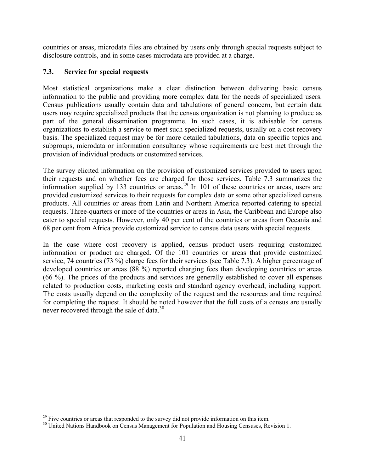countries or areas, microdata files are obtained by users only through special requests subject to disclosure controls, and in some cases microdata are provided at a charge.

## **7.3. Service for special requests**

Most statistical organizations make a clear distinction between delivering basic census information to the public and providing more complex data for the needs of specialized users. Census publications usually contain data and tabulations of general concern, but certain data users may require specialized products that the census organization is not planning to produce as part of the general dissemination programme. In such cases, it is advisable for census organizations to establish a service to meet such specialized requests, usually on a cost recovery basis. The specialized request may be for more detailed tabulations, data on specific topics and subgroups, microdata or information consultancy whose requirements are best met through the provision of individual products or customized services.

The survey elicited information on the provision of customized services provided to users upon their requests and on whether fees are charged for those services. Table 7.3 summarizes the information supplied by 133 countries or areas.<sup>29</sup> In 101 of these countries or areas, users are provided customized services to their requests for complex data or some other specialized census products. All countries or areas from Latin and Northern America reported catering to special requests. Three-quarters or more of the countries or areas in Asia, the Caribbean and Europe also cater to special requests. However, only 40 per cent of the countries or areas from Oceania and 68 per cent from Africa provide customized service to census data users with special requests.

In the case where cost recovery is applied, census product users requiring customized information or product are charged. Of the 101 countries or areas that provide customized service, 74 countries (73 %) charge fees for their services (see Table 7.3). A higher percentage of developed countries or areas (88 %) reported charging fees than developing countries or areas (66 %). The prices of the products and services are generally established to cover all expenses related to production costs, marketing costs and standard agency overhead, including support. The costs usually depend on the complexity of the request and the resources and time required for completing the request. It should be noted however that the full costs of a census are usually never recovered through the sale of data.<sup>30</sup>

 $29$  Five countries or areas that responded to the survey did not provide information on this item.

<sup>&</sup>lt;sup>30</sup> United Nations Handbook on Census Management for Population and Housing Censuses, Revision 1.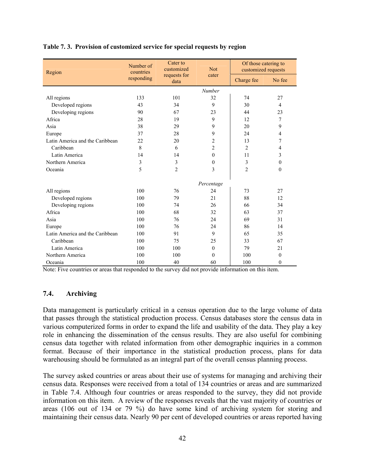| Region                          | Number of<br>countries | Cater to<br>customized | <b>Not</b>     | Of those catering to<br>customized requests |                |
|---------------------------------|------------------------|------------------------|----------------|---------------------------------------------|----------------|
|                                 | responding             | requests for<br>data   | cater          | Charge fee                                  | No fee         |
|                                 |                        |                        | <b>Number</b>  |                                             |                |
| All regions                     | 133                    | 101                    | 32             | 74                                          | 27             |
| Developed regions               | 43                     | 34                     | 9              | 30                                          | $\overline{4}$ |
| Developing regions              | 90                     | 67                     | 23             | 44                                          | 23             |
| Africa                          | 28                     | 19                     | 9              | 12                                          | 7              |
| Asia                            | 38                     | 29                     | 9              | 20                                          | 9              |
| Europe                          | 37                     | 28                     | 9              | 24                                          | $\overline{4}$ |
| Latin America and the Caribbean | 22                     | 20                     | $\overline{c}$ | 13                                          | 7              |
| Caribbean                       | 8                      | 6                      | $\overline{c}$ | $\overline{c}$                              | $\overline{4}$ |
| Latin America                   | 14                     | 14                     | $\theta$       | 11                                          | 3              |
| Northern America                | 3                      | 3                      | $\mathbf{0}$   | 3                                           | $\mathbf{0}$   |
| Oceania                         | 5                      | $\overline{2}$         | 3              | $\overline{c}$                              | $\mathbf{0}$   |
|                                 |                        |                        | Percentage     |                                             |                |
| All regions                     | 100                    | 76                     | 24             | 73                                          | 27             |
| Developed regions               | 100                    | 79                     | 21             | 88                                          | 12             |
| Developing regions              | 100                    | 74                     | 26             | 66                                          | 34             |
| Africa                          | 100                    | 68                     | 32             | 63                                          | 37             |
| Asia                            | 100                    | 76                     | 24             | 69                                          | 31             |
| Europe                          | 100                    | 76                     | 24             | 86                                          | 14             |
| Latin America and the Caribbean | 100                    | 91                     | 9              | 65                                          | 35             |
| Caribbean                       | 100                    | 75                     | 25             | 33                                          | 67             |
| Latin America                   | 100                    | 100                    | $\mathbf{0}$   | 79                                          | 21             |
| Northern America                | 100                    | 100                    | $\theta$       | 100                                         | $\mathbf{0}$   |
| Oceania                         | 100                    | 40                     | 60             | 100                                         | $\mathbf{0}$   |

#### **Table 7. 3. Provision of customized service for special requests by region**

Note: Five countries or areas that responded to the survey did not provide information on this item.

#### **7.4. Archiving**

Data management is particularly critical in a census operation due to the large volume of data that passes through the statistical production process. Census databases store the census data in various computerized forms in order to expand the life and usability of the data. They play a key role in enhancing the dissemination of the census results. They are also useful for combining census data together with related information from other demographic inquiries in a common format. Because of their importance in the statistical production process, plans for data warehousing should be formulated as an integral part of the overall census planning process.

The survey asked countries or areas about their use of systems for managing and archiving their census data. Responses were received from a total of 134 countries or areas and are summarized in Table 7.4. Although four countries or areas responded to the survey, they did not provide information on this item. A review of the responses reveals that the vast majority of countries or areas (106 out of 134 or 79 %) do have some kind of archiving system for storing and maintaining their census data. Nearly 90 per cent of developed countries or areas reported having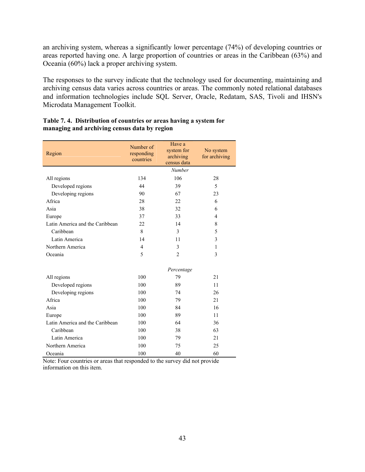an archiving system, whereas a significantly lower percentage (74%) of developing countries or areas reported having one. A large proportion of countries or areas in the Caribbean (63%) and Oceania (60%) lack a proper archiving system.

The responses to the survey indicate that the technology used for documenting, maintaining and archiving census data varies across countries or areas. The commonly noted relational databases and information technologies include SQL Server, Oracle, Redatam, SAS, Tivoli and IHSN's Microdata Management Toolkit.

| Region                          | Number of<br>responding<br>countries | Have a<br>system for<br>archiving<br>census data | No system<br>for archiving |
|---------------------------------|--------------------------------------|--------------------------------------------------|----------------------------|
|                                 |                                      | Number                                           |                            |
| All regions                     | 134                                  | 106                                              | 28                         |
| Developed regions               | 44                                   | 39                                               | 5                          |
| Developing regions              | 90                                   | 67                                               | 23                         |
| Africa                          | 28                                   | 22                                               | 6                          |
| Asia                            | 38                                   | 32                                               | 6                          |
| Europe                          | 37                                   | 33                                               | $\overline{4}$             |
| Latin America and the Caribbean | 22                                   | 14                                               | 8                          |
| Caribbean                       | 8                                    | 3                                                | 5                          |
| Latin America                   | 14                                   | 11                                               | 3                          |
| Northern America                | $\overline{4}$                       | 3                                                | 1                          |
| Oceania                         | 5                                    | $\overline{2}$                                   | 3                          |
|                                 |                                      | Percentage                                       |                            |
| All regions                     | 100                                  | 79                                               | 21                         |
| Developed regions               | 100                                  | 89                                               | 11                         |
| Developing regions              | 100                                  | 74                                               | 26                         |
| Africa                          | 100                                  | 79                                               | 2.1                        |
| Asia                            | 100                                  | 84                                               | 16                         |
| Europe                          | 100                                  | 89                                               | 11                         |
| Latin America and the Caribbean | 100                                  | 64                                               | 36                         |
| Caribbean                       | 100                                  | 38                                               | 63                         |
| Latin America                   | 100                                  | 79                                               | 21                         |
| Northern America                | 100                                  | 75                                               | 25                         |
| Oceania                         | 100                                  | 40                                               | 60                         |

#### **Table 7. 4. Distribution of countries or areas having a system for managing and archiving census data by region**

Note: Four countries or areas that responded to the survey did not provide information on this item.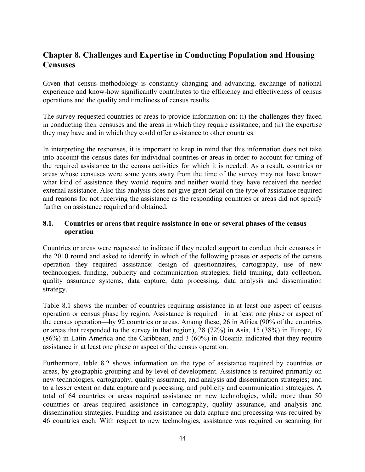# **Chapter 8. Challenges and Expertise in Conducting Population and Housing Censuses**

Given that census methodology is constantly changing and advancing, exchange of national experience and know-how significantly contributes to the efficiency and effectiveness of census operations and the quality and timeliness of census results.

The survey requested countries or areas to provide information on: (i) the challenges they faced in conducting their censuses and the areas in which they require assistance; and (ii) the expertise they may have and in which they could offer assistance to other countries.

In interpreting the responses, it is important to keep in mind that this information does not take into account the census dates for individual countries or areas in order to account for timing of the required assistance to the census activities for which it is needed. As a result, countries or areas whose censuses were some years away from the time of the survey may not have known what kind of assistance they would require and neither would they have received the needed external assistance. Also this analysis does not give great detail on the type of assistance required and reasons for not receiving the assistance as the responding countries or areas did not specify further on assistance required and obtained.

#### **8.1. Countries or areas that require assistance in one or several phases of the census operation**

Countries or areas were requested to indicate if they needed support to conduct their censuses in the 2010 round and asked to identify in which of the following phases or aspects of the census operation they required assistance: design of questionnaires, cartography, use of new technologies, funding, publicity and communication strategies, field training, data collection, quality assurance systems, data capture, data processing, data analysis and dissemination strategy.

Table 8.1 shows the number of countries requiring assistance in at least one aspect of census operation or census phase by region. Assistance is required—in at least one phase or aspect of the census operation—by 92 countries or areas. Among these, 26 in Africa (90% of the countries or areas that responded to the survey in that region), 28 (72%) in Asia, 15 (38%) in Europe, 19 (86%) in Latin America and the Caribbean, and 3 (60%) in Oceania indicated that they require assistance in at least one phase or aspect of the census operation.

Furthermore, table 8.2 shows information on the type of assistance required by countries or areas, by geographic grouping and by level of development. Assistance is required primarily on new technologies, cartography, quality assurance, and analysis and dissemination strategies; and to a lesser extent on data capture and processing, and publicity and communication strategies. A total of 64 countries or areas required assistance on new technologies, while more than 50 countries or areas required assistance in cartography, quality assurance, and analysis and dissemination strategies. Funding and assistance on data capture and processing was required by 46 countries each. With respect to new technologies, assistance was required on scanning for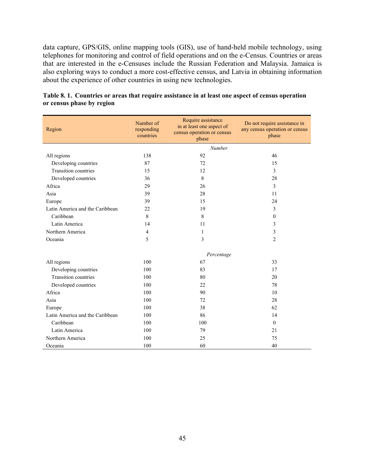data capture, GPS/GIS, online mapping tools (GIS), use of hand-held mobile technology, using telephones for monitoring and control of field operations and on the e-Census. Countries or areas that are interested in the e-Censuses include the Russian Federation and Malaysia. Jamaica is also exploring ways to conduct a more cost-effective census, and Latvia in obtaining information about the experience of other countries in using new technologies.

| Region                          | Number of<br>responding<br>countries | Require assistance<br>in at least one aspect of<br>census operation or census<br>phase | Do not require assistance in<br>any census operation or census<br>phase |
|---------------------------------|--------------------------------------|----------------------------------------------------------------------------------------|-------------------------------------------------------------------------|
|                                 |                                      | <b>Number</b>                                                                          |                                                                         |
| All regions                     | 138                                  | 92                                                                                     | 46                                                                      |
| Developing countries            | 87                                   | 72                                                                                     | 15                                                                      |
| <b>Transition countries</b>     | 15                                   | 12                                                                                     | 3                                                                       |
| Developed countries             | 36                                   | 8                                                                                      | 28                                                                      |
| Africa                          | 29                                   | 26                                                                                     | $\mathfrak{Z}$                                                          |
| Asia                            | 39                                   | 28                                                                                     | 11                                                                      |
| Europe                          | 39                                   | 15                                                                                     | 24                                                                      |
| Latin America and the Caribbean | 22                                   | 19                                                                                     | 3                                                                       |
| Caribbean                       | 8                                    | 8                                                                                      | $\mathbf{0}$                                                            |
| Latin America                   | 14                                   | 11                                                                                     | 3                                                                       |
| Northern America                | $\overline{4}$                       | 1                                                                                      | 3                                                                       |
| Oceania                         | 5                                    | 3                                                                                      | $\overline{2}$                                                          |
|                                 |                                      | Percentage                                                                             |                                                                         |
| All regions                     | 100                                  | 67                                                                                     | 33                                                                      |
| Developing countries            | 100                                  | 83                                                                                     | 17                                                                      |
| <b>Transition countries</b>     | 100                                  | 80                                                                                     | 20                                                                      |
| Developed countries             | 100                                  | 22                                                                                     | 78                                                                      |
| Africa                          | 100                                  | 90                                                                                     | 10                                                                      |
| Asia                            | 100                                  | 72                                                                                     | 28                                                                      |
| Europe                          | 100                                  | 38                                                                                     | 62                                                                      |
| Latin America and the Caribbean | 100                                  | 86                                                                                     | 14                                                                      |
| Caribbean                       | 100                                  | 100                                                                                    | $\theta$                                                                |
| Latin America                   | 100                                  | 79                                                                                     | 21                                                                      |
| Northern America                | 100                                  | 25                                                                                     | 75                                                                      |
| Oceania                         | 100                                  | 60                                                                                     | 40                                                                      |

**Table 8. 1. Countries or areas that require assistance in at least one aspect of census operation or census phase by region**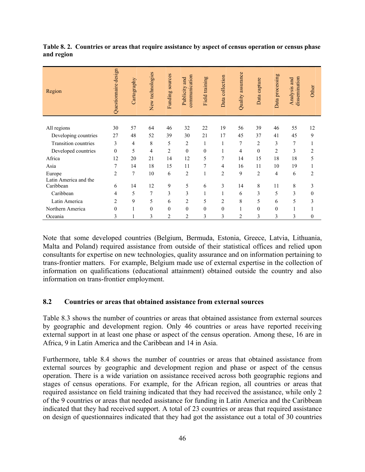| Region                | Questionnaire design | Cartography    | New technologies | Funding sources | communication<br>Publicity and | Field training | Data collection | Quality assurance | Data capture   | Data processing | dissemination<br>Analysis and | Other            |
|-----------------------|----------------------|----------------|------------------|-----------------|--------------------------------|----------------|-----------------|-------------------|----------------|-----------------|-------------------------------|------------------|
| All regions           | 30                   | 57             | 64               | 46              | 32                             | 22             | 19              | 56                | 39             | 46              | 55                            | 12               |
|                       | 27                   | 48             |                  | 39              | 30                             | 21             | 17              | 45                | 37             | 41              | 45                            | 9                |
| Developing countries  |                      |                | 52               |                 |                                |                |                 |                   |                |                 |                               |                  |
| Transition countries  | 3                    | $\overline{4}$ | 8                | 5               | $\overline{c}$                 | 1              | 1               | $\overline{7}$    | $\overline{c}$ | 3               | 7                             | 1                |
| Developed countries   | $\theta$             | 5              | 4                | $\overline{c}$  | $\overline{0}$                 | $\mathbf{0}$   | 1               | 4                 | $\theta$       | $\overline{2}$  | 3                             | $\overline{c}$   |
| Africa                | 12                   | 20             | 21               | 14              | 12                             | 5              | 7               | 14                | 15             | 18              | 18                            | 5                |
| Asia                  | 7                    | 14             | 18               | 15              | 11                             | 7              | 4               | 16                | 11             | 10              | 19                            | $\mathbf{1}$     |
| Europe                | $\overline{2}$       | 7              | 10               | 6               | $\overline{c}$                 | $\mathbf{1}$   | $\overline{2}$  | 9                 | 2              | 4               | 6                             | $\overline{c}$   |
| Latin America and the |                      |                |                  |                 |                                |                |                 |                   |                |                 |                               |                  |
| Caribbean             | 6                    | 14             | 12               | 9               | 5                              | 6              | 3               | 14                | 8              | 11              | 8                             | 3                |
| Caribbean             | 4                    | 5              | 7                | 3               | 3                              | 1              | 1               | 6                 | 3              | 5               | 3                             | $\mathbf{0}$     |
| Latin America         | $\overline{c}$       | 9              | 5                | 6               | 2                              | 5              | $\overline{c}$  | 8                 | 5              | 6               | 5                             | 3                |
| Northern America      | $\theta$             | 1              | $\theta$         | $\theta$        | $\mathbf{0}$                   | $\theta$       | $\mathbf{0}$    |                   | $\theta$       | $\theta$        | 1                             |                  |
| Oceania               | 3                    | 1              | 3                | $\overline{c}$  | $\overline{2}$                 | 3              | 3               | $\overline{2}$    | 3              | 3               | 3                             | $\boldsymbol{0}$ |

**Table 8. 2. Countries or areas that require assistance by aspect of census operation or census phase and region** 

Note that some developed countries (Belgium, Bermuda, Estonia, Greece, Latvia, Lithuania, Malta and Poland) required assistance from outside of their statistical offices and relied upon consultants for expertise on new technologies, quality assurance and on information pertaining to trans-frontier matters. For example, Belgium made use of external expertise in the collection of information on qualifications (educational attainment) obtained outside the country and also information on trans-frontier employment.

#### **8.2 Countries or areas that obtained assistance from external sources**

Table 8.3 shows the number of countries or areas that obtained assistance from external sources by geographic and development region. Only 46 countries or areas have reported receiving external support in at least one phase or aspect of the census operation. Among these, 16 are in Africa, 9 in Latin America and the Caribbean and 14 in Asia.

Furthermore, table 8.4 shows the number of countries or areas that obtained assistance from external sources by geographic and development region and phase or aspect of the census operation. There is a wide variation on assistance received across both geographic regions and stages of census operations. For example, for the African region, all countries or areas that required assistance on field training indicated that they had received the assistance, while only 2 of the 9 countries or areas that needed assistance for funding in Latin America and the Caribbean indicated that they had received support. A total of 23 countries or areas that required assistance on design of questionnaires indicated that they had got the assistance out a total of 30 countries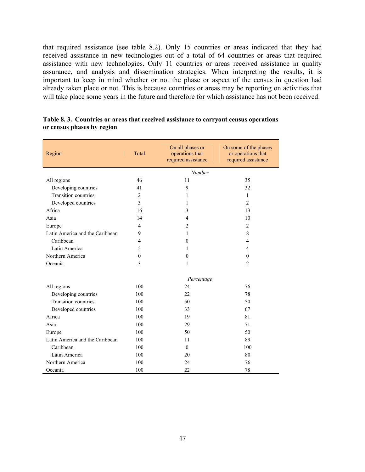that required assistance (see table 8.2). Only 15 countries or areas indicated that they had received assistance in new technologies out of a total of 64 countries or areas that required assistance with new technologies. Only 11 countries or areas received assistance in quality assurance, and analysis and dissemination strategies. When interpreting the results, it is important to keep in mind whether or not the phase or aspect of the census in question had already taken place or not. This is because countries or areas may be reporting on activities that will take place some years in the future and therefore for which assistance has not been received.

| Region                          | Total          | On all phases or<br>operations that<br>required assistance | On some of the phases<br>or operations that<br>required assistance |
|---------------------------------|----------------|------------------------------------------------------------|--------------------------------------------------------------------|
|                                 |                | <b>Number</b>                                              |                                                                    |
| All regions                     | 46             | 11                                                         | 35                                                                 |
| Developing countries            | 41             | 9                                                          | 32                                                                 |
| <b>Transition countries</b>     | $\overline{c}$ | 1                                                          | $\mathbf{1}$                                                       |
| Developed countries             | 3              | 1                                                          | $\overline{2}$                                                     |
| Africa                          | 16             | 3                                                          | 13                                                                 |
| Asia                            | 14             | $\overline{4}$                                             | 10                                                                 |
| Europe                          | $\overline{4}$ | $\overline{2}$                                             | 2                                                                  |
| Latin America and the Caribbean | 9              | 1                                                          | 8                                                                  |
| Caribbean                       | 4              | $\mathbf{0}$                                               | 4                                                                  |
| Latin America                   | 5              | 1                                                          | $\overline{4}$                                                     |
| Northern America                | $\mathbf{0}$   | $\mathbf{0}$                                               | $\mathbf{0}$                                                       |
| Oceania                         | 3              | 1                                                          | $\overline{c}$                                                     |
|                                 |                | Percentage                                                 |                                                                    |
| All regions                     | 100            | 24                                                         | 76                                                                 |
| Developing countries            | 100            | 22                                                         | 78                                                                 |
| <b>Transition countries</b>     | 100            | 50                                                         | 50                                                                 |
| Developed countries             | 100            | 33                                                         | 67                                                                 |
| Africa                          | 100            | 19                                                         | 81                                                                 |
| Asia                            | 100            | 29                                                         | 71                                                                 |
| Europe                          | 100            | 50                                                         | 50                                                                 |
| Latin America and the Caribbean | 100            | 11                                                         | 89                                                                 |
| Caribbean                       | 100            | $\Omega$                                                   | 100                                                                |
| Latin America                   | 100            | 20                                                         | 80                                                                 |
| Northern America                | 100            | 24                                                         | 76                                                                 |
| Oceania                         | 100            | 22                                                         | 78                                                                 |

#### **Table 8. 3. Countries or areas that received assistance to carryout census operations or census phases by region**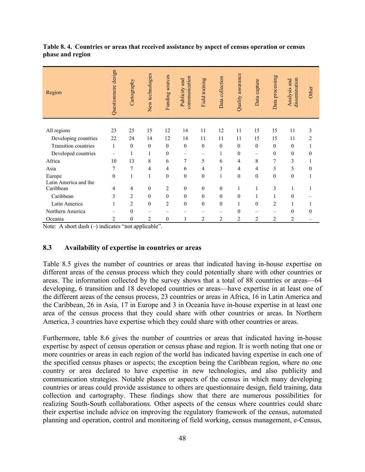| Region                | Questionnaire design | Cartography    | New technologies | sources<br>Funding: | communication<br>Publicity and | Field training | Data collection | Quality assurance | Data capture   | Data processing | dissemination<br>Analysis and | Other          |
|-----------------------|----------------------|----------------|------------------|---------------------|--------------------------------|----------------|-----------------|-------------------|----------------|-----------------|-------------------------------|----------------|
|                       |                      |                |                  |                     |                                |                |                 |                   |                |                 |                               |                |
| All regions           | 23                   | 25             | 15               | 12                  | 14                             | 11             | 12              | 11                | 15             | 15              | 11                            | 3              |
| Developing countries  | 22                   | 24             | 14               | 12                  | 14                             | 11             | 11              | 11                | 15             | 15              | 11                            | $\overline{c}$ |
| Transition countries  | 1                    | $\theta$       | $\mathbf{0}$     | $\theta$            | $\theta$                       | $\mathbf{0}$   | $\mathbf{0}$    | $\theta$          | $\mathbf{0}$   | $\mathbf{0}$    | $\mathbf{0}$                  |                |
| Developed countries   | -                    |                | 1                | $\mathbf{0}$        | —                              |                | 1               | $\mathbf{0}$      |                | $\mathbf{0}$    | $\mathbf{0}$                  | $\mathbf{0}$   |
| Africa                | 10                   | 13             | 8                | 6                   | 7                              | 5              | 6               | 4                 | 8              | 7               | 3                             |                |
| Asia                  | 7                    | 7              | $\overline{4}$   | 4                   | 6                              | 4              | 3               | 4                 | 4              | 3               | 5                             | $\theta$       |
| Europe                | $\theta$             |                | $\mathbf{1}$     | $\theta$            | $\mathbf{0}$                   | $\mathbf{0}$   | 1               | $\theta$          | $\mathbf{0}$   | $\mathbf{0}$    | $\mathbf{0}$                  |                |
| Latin America and the |                      |                |                  |                     |                                |                |                 |                   |                |                 |                               |                |
| Caribbean             | 4                    | 4              | $\mathbf{0}$     | $\overline{c}$      | $\boldsymbol{0}$               | $\mathbf{0}$   | $\mathbf{0}$    | 1                 | $\mathbf{1}$   | 3               | 1                             |                |
| Caribbean             | 3                    | $\overline{2}$ | $\mathbf{0}$     | $\mathbf{0}$        | $\boldsymbol{0}$               | $\mathbf{0}$   | $\mathbf{0}$    | $\mathbf{0}$      |                | 1               | $\theta$                      |                |
| Latin America         |                      | $\overline{2}$ | $\mathbf{0}$     | $\overline{2}$      | $\mathbf{0}$                   | $\mathbf{0}$   | $\mathbf{0}$    | 1                 | $\theta$       | $\overline{2}$  | 1                             |                |
| Northern America      |                      | $\theta$       |                  |                     |                                |                | -               | $\Omega$          |                |                 | $\theta$                      | 0              |
| Oceania               | $\overline{c}$       | $\mathbf{0}$   | $\overline{2}$   | $\mathbf{0}$        | 1                              | $\overline{2}$ | $\overline{c}$  | $\overline{c}$    | $\overline{2}$ | $\overline{2}$  | $\overline{c}$                |                |

**Table 8. 4. Countries or areas that received assistance by aspect of census operation or census phase and region** 

Note: A short dash  $(-)$  indicates "not applicable".

#### **8.3 Availability of expertise in countries or areas**

Table 8.5 gives the number of countries or areas that indicated having in-house expertise on different areas of the census process which they could potentially share with other countries or areas. The information collected by the survey shows that a total of 88 countries or areas—64 developing, 6 transition and 18 developed countries or areas—have expertise in at least one of the different areas of the census process, 23 countries or areas in Africa, 16 in Latin America and the Caribbean, 26 in Asia, 17 in Europe and 3 in Oceania have in-house expertise in at least one area of the census process that they could share with other countries or areas. In Northern America, 3 countries have expertise which they could share with other countries or areas.

Furthermore, table 8.6 gives the number of countries or areas that indicated having in-house expertise by aspect of census operation or census phase and region. It is worth noting that one or more countries or areas in each region of the world has indicated having expertise in each one of the specified census phases or aspects; the exception being the Caribbean region, where no one country or area declared to have expertise in new technologies, and also publicity and communication strategies. Notable phases or aspects of the census in which many developing countries or areas could provide assistance to others are questionnaire design, field training, data collection and cartography. These findings show that there are numerous possibilities for realizing South-South collaborations. Other aspects of the census where countries could share their expertise include advice on improving the regulatory framework of the census, automated planning and operation, control and monitoring of field working, census management, e-Census,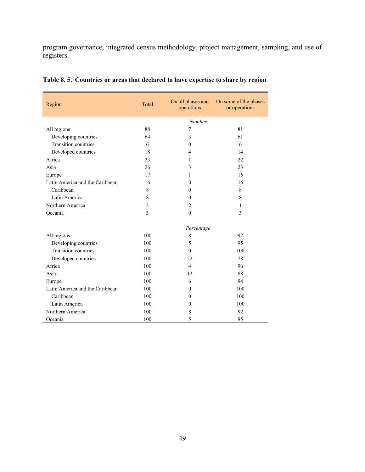program governance, integrated census methodology, project management, sampling, and use of registers.

| Region                          | Total | On all phases and<br>operations | On some of the phases<br>or operations |
|---------------------------------|-------|---------------------------------|----------------------------------------|
|                                 |       | Number                          |                                        |
| All regions                     | 88    | $\overline{7}$                  | 81                                     |
| Developing countries            | 64    | 3                               | 61                                     |
| <b>Transition</b> countries     | 6     | $\theta$                        | 6                                      |
| Developed countries             | 18    | 4                               | 14                                     |
| Africa                          | 23    | 1                               | 22                                     |
| Asia                            | 26    | 3                               | 23                                     |
| Europe                          | 17    | 1                               | 16                                     |
| Latin America and the Caribbean | 16    | $\Omega$                        | 16                                     |
| Caribbean                       | 8     | $\Omega$                        | 8                                      |
| Latin America                   | 8     | $\theta$                        | 8                                      |
| Northern America                | 3     | $\overline{2}$                  | 1                                      |
| Oceania                         | 3     | $\theta$                        | 3                                      |
|                                 |       | Percentage                      |                                        |
| All regions                     | 100   | 8                               | 92                                     |
| Developing countries            | 100   | 5                               | 95                                     |
| <b>Transition countries</b>     | 100   | $\theta$                        | 100                                    |
| Developed countries             | 100   | 22                              | 78                                     |
| Africa                          | 100   | $\overline{4}$                  | 96                                     |
| Asia                            | 100   | 12                              | 88                                     |
| Europe                          | 100   | 6                               | 94                                     |
| Latin America and the Caribbean | 100   | $\Omega$                        | 100                                    |
| Caribbean                       | 100   | $\Omega$                        | 100                                    |
| Latin America                   | 100   | $\theta$                        | 100                                    |
| Northern America                | 100   | 8                               | 92                                     |
| Oceania                         | 100   | 5                               | 95                                     |

| Table 8.5. Countries or areas that declared to have expertise to share by region |
|----------------------------------------------------------------------------------|
|----------------------------------------------------------------------------------|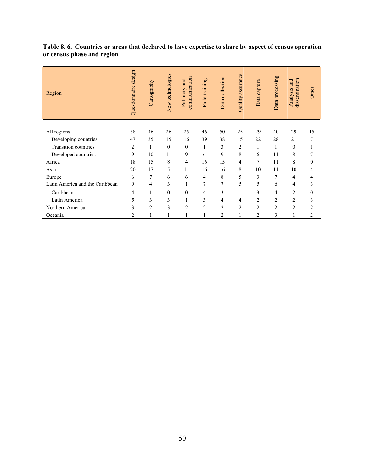| Table 8.6. Countries or areas that declared to have expertise to share by aspect of census operation |  |  |
|------------------------------------------------------------------------------------------------------|--|--|
| or census phase and region                                                                           |  |  |

| Region                          | Questionnaire design | Cartography    | New technologies | communication<br>and<br>Publicity | Field training | Data collection | Quality assurance | Data capture   | Data processing | dissemination<br>Analysis and | Other          |
|---------------------------------|----------------------|----------------|------------------|-----------------------------------|----------------|-----------------|-------------------|----------------|-----------------|-------------------------------|----------------|
| All regions                     | 58                   | 46             | 26               | 25                                | 46             | 50              | 25                | 29             | 40              | 29                            | 15             |
| Developing countries            | 47                   | 35             | 15               | 16                                | 39             | 38              | 15                | 22             | 28              | 21                            | 7              |
| Transition countries            | $\overline{2}$       | 1              | $\theta$         | $\mathbf{0}$                      | 1              | 3               | $\overline{2}$    | 1              | 1               | $\theta$                      | 1              |
| Developed countries             | 9                    | 10             | 11               | 9                                 | 6              | 9               | 8                 | 6              | 11              | 8                             | 7              |
| Africa                          | 18                   | 15             | 8                | 4                                 | 16             | 15              | 4                 | $\overline{7}$ | 11              | 8                             | $\mathbf{0}$   |
| Asia                            | 20                   | 17             | 5                | 11                                | 16             | 16              | 8                 | 10             | 11              | 10                            | 4              |
| Europe                          | 6                    | 7              | 6                | 6                                 | 4              | 8               | 5                 | 3              | 7               | 4                             | 4              |
| Latin America and the Caribbean | 9                    | 4              | 3                | 1                                 | 7              | $\overline{7}$  | 5                 | 5              | 6               | 4                             | 3              |
| Caribbean                       | 4                    |                | $\boldsymbol{0}$ | $\mathbf{0}$                      | 4              | 3               | 1                 | $\overline{3}$ | $\overline{4}$  | 2                             | $\mathbf{0}$   |
| Latin America                   | 5                    | 3              | 3                | 1                                 | 3              | 4               | 4                 | 2              | $\overline{2}$  | $\overline{c}$                | 3              |
| Northern America                | 3                    | $\overline{2}$ | 3                | $\overline{2}$                    | $\overline{c}$ | $\overline{2}$  | $\overline{2}$    | $\overline{2}$ | $\overline{2}$  | $\overline{c}$                | $\overline{2}$ |
| Oceania                         | $\overline{2}$       |                |                  |                                   |                | $\overline{2}$  |                   | $\overline{2}$ | 3               |                               | 2              |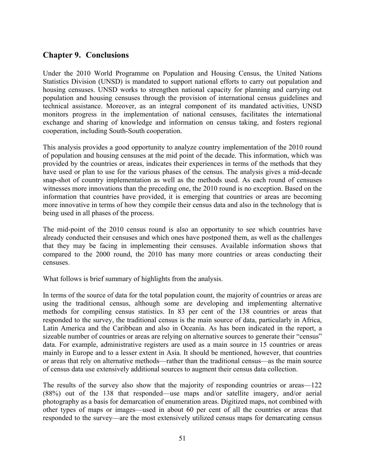# **Chapter 9. Conclusions**

Under the 2010 World Programme on Population and Housing Census, the United Nations Statistics Division (UNSD) is mandated to support national efforts to carry out population and housing censuses. UNSD works to strengthen national capacity for planning and carrying out population and housing censuses through the provision of international census guidelines and technical assistance. Moreover, as an integral component of its mandated activities, UNSD monitors progress in the implementation of national censuses, facilitates the international exchange and sharing of knowledge and information on census taking, and fosters regional cooperation, including South-South cooperation.

This analysis provides a good opportunity to analyze country implementation of the 2010 round of population and housing censuses at the mid point of the decade. This information, which was provided by the countries or areas, indicates their experiences in terms of the methods that they have used or plan to use for the various phases of the census. The analysis gives a mid-decade snap-shot of country implementation as well as the methods used. As each round of censuses witnesses more innovations than the preceding one, the 2010 round is no exception. Based on the information that countries have provided, it is emerging that countries or areas are becoming more innovative in terms of how they compile their census data and also in the technology that is being used in all phases of the process.

The mid-point of the 2010 census round is also an opportunity to see which countries have already conducted their censuses and which ones have postponed them, as well as the challenges that they may be facing in implementing their censuses. Available information shows that compared to the 2000 round, the 2010 has many more countries or areas conducting their censuses.

What follows is brief summary of highlights from the analysis.

In terms of the source of data for the total population count, the majority of countries or areas are using the traditional census, although some are developing and implementing alternative methods for compiling census statistics. In 83 per cent of the 138 countries or areas that responded to the survey, the traditional census is the main source of data, particularly in Africa, Latin America and the Caribbean and also in Oceania. As has been indicated in the report, a sizeable number of countries or areas are relying on alternative sources to generate their "census" data. For example, administrative registers are used as a main source in 15 countries or areas mainly in Europe and to a lesser extent in Asia. It should be mentioned, however, that countries or areas that rely on alternative methods—rather than the traditional census—as the main source of census data use extensively additional sources to augment their census data collection.

The results of the survey also show that the majority of responding countries or areas—122 (88%) out of the 138 that responded—use maps and/or satellite imagery, and/or aerial photography as a basis for demarcation of enumeration areas. Digitized maps, not combined with other types of maps or images—used in about 60 per cent of all the countries or areas that responded to the survey—are the most extensively utilized census maps for demarcating census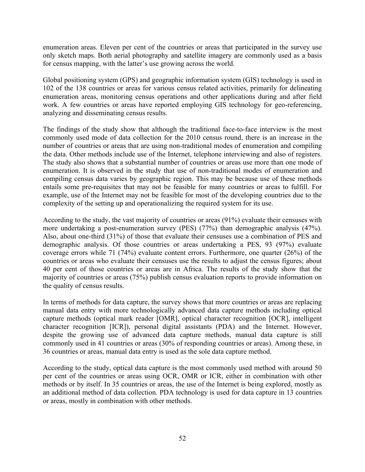enumeration areas. Eleven per cent of the countries or areas that participated in the survey use only sketch maps. Both aerial photography and satellite imagery are commonly used as a basis for census mapping, with the latter's use growing across the world.

Global positioning system (GPS) and geographic information system (GIS) technology is used in 102 of the 138 countries or areas for various census related activities, primarily for delineating enumeration areas, monitoring census operations and other applications during and after field work. A few countries or areas have reported employing GIS technology for geo-referencing, analyzing and disseminating census results.

The findings of the study show that although the traditional face-to-face interview is the most commonly used mode of data collection for the 2010 census round, there is an increase in the number of countries or areas that are using non-traditional modes of enumeration and compiling the data. Other methods include use of the Internet, telephone interviewing and also of registers. The study also shows that a substantial number of countries or areas use more than one mode of enumeration. It is observed in the study that use of non-traditional modes of enumeration and compiling census data varies by geographic region. This may be because use of these methods entails some pre-requisites that may not be feasible for many countries or areas to fulfill. For example, use of the Internet may not be feasible for most of the developing countries due to the complexity of the setting up and operationalizing the required system for its use.

According to the study, the vast majority of countries or areas (91%) evaluate their censuses with more undertaking a post-enumeration survey (PES) (77%) than demographic analysis (47%). Also, about one-third (31%) of those that evaluate their censuses use a combination of PES and demographic analysis. Of those countries or areas undertaking a PES, 93 (97%) evaluate coverage errors while 71 (74%) evaluate content errors. Furthermore, one quarter (26%) of the countries or areas who evaluate their censuses use the results to adjust the census figures; about 40 per cent of those countries or areas are in Africa. The results of the study show that the majority of countries or areas (75%) publish census evaluation reports to provide information on the quality of census results.

In terms of methods for data capture, the survey shows that more countries or areas are replacing manual data entry with more technologically advanced data capture methods including optical capture methods (optical mark reader [OMR], optical character recognition [OCR], intelligent character recognition [ICR]), personal digital assistants (PDA) and the Internet. However, despite the growing use of advanced data capture methods, manual data capture is still commonly used in 41 countries or areas (30% of responding countries or areas). Among these, in 36 countries or areas, manual data entry is used as the sole data capture method.

According to the study, optical data capture is the most commonly used method with around 50 per cent of the countries or areas using OCR, OMR or ICR, either in combination with other methods or by itself. In 35 countries or areas, the use of the Internet is being explored, mostly as an additional method of data collection. PDA technology is used for data capture in 13 countries or areas, mostly in combination with other methods.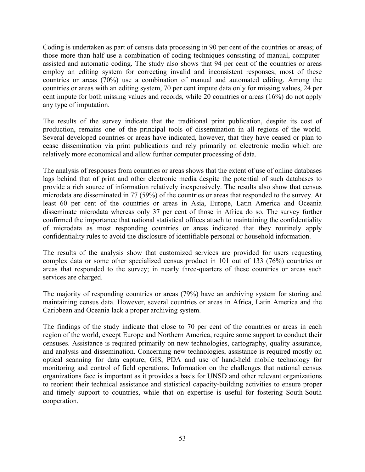Coding is undertaken as part of census data processing in 90 per cent of the countries or areas; of those more than half use a combination of coding techniques consisting of manual, computerassisted and automatic coding. The study also shows that 94 per cent of the countries or areas employ an editing system for correcting invalid and inconsistent responses; most of these countries or areas (70%) use a combination of manual and automated editing. Among the countries or areas with an editing system, 70 per cent impute data only for missing values, 24 per cent impute for both missing values and records, while 20 countries or areas (16%) do not apply any type of imputation.

The results of the survey indicate that the traditional print publication, despite its cost of production, remains one of the principal tools of dissemination in all regions of the world. Several developed countries or areas have indicated, however, that they have ceased or plan to cease dissemination via print publications and rely primarily on electronic media which are relatively more economical and allow further computer processing of data.

The analysis of responses from countries or areas shows that the extent of use of online databases lags behind that of print and other electronic media despite the potential of such databases to provide a rich source of information relatively inexpensively. The results also show that census microdata are disseminated in 77 (59%) of the countries or areas that responded to the survey. At least 60 per cent of the countries or areas in Asia, Europe, Latin America and Oceania disseminate microdata whereas only 37 per cent of those in Africa do so. The survey further confirmed the importance that national statistical offices attach to maintaining the confidentiality of microdata as most responding countries or areas indicated that they routinely apply confidentiality rules to avoid the disclosure of identifiable personal or household information.

The results of the analysis show that customized services are provided for users requesting complex data or some other specialized census product in 101 out of 133 (76%) countries or areas that responded to the survey; in nearly three-quarters of these countries or areas such services are charged.

The majority of responding countries or areas (79%) have an archiving system for storing and maintaining census data. However, several countries or areas in Africa, Latin America and the Caribbean and Oceania lack a proper archiving system.

The findings of the study indicate that close to 70 per cent of the countries or areas in each region of the world, except Europe and Northern America, require some support to conduct their censuses. Assistance is required primarily on new technologies, cartography, quality assurance, and analysis and dissemination. Concerning new technologies, assistance is required mostly on optical scanning for data capture, GIS, PDA and use of hand-held mobile technology for monitoring and control of field operations. Information on the challenges that national census organizations face is important as it provides a basis for UNSD and other relevant organizations to reorient their technical assistance and statistical capacity-building activities to ensure proper and timely support to countries, while that on expertise is useful for fostering South-South cooperation.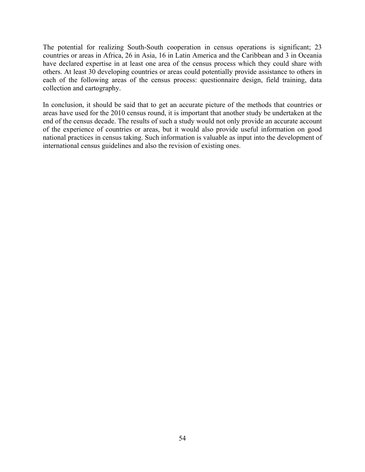The potential for realizing South-South cooperation in census operations is significant; 23 countries or areas in Africa, 26 in Asia, 16 in Latin America and the Caribbean and 3 in Oceania have declared expertise in at least one area of the census process which they could share with others. At least 30 developing countries or areas could potentially provide assistance to others in each of the following areas of the census process: questionnaire design, field training, data collection and cartography.

In conclusion, it should be said that to get an accurate picture of the methods that countries or areas have used for the 2010 census round, it is important that another study be undertaken at the end of the census decade. The results of such a study would not only provide an accurate account of the experience of countries or areas, but it would also provide useful information on good national practices in census taking. Such information is valuable as input into the development of international census guidelines and also the revision of existing ones.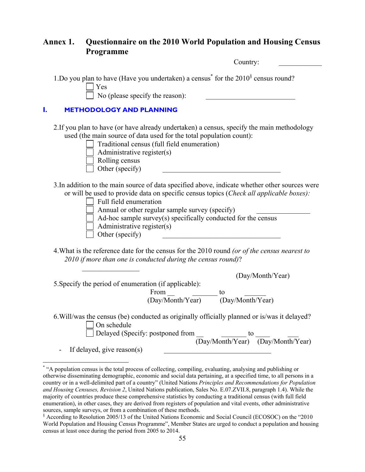# **Annex 1. Questionnaire on the 2010 World Population and Housing Census Programme**

|    | 1 годі анніце<br>Country:                                                                                                                                                                                                                                                                                                                                                                |
|----|------------------------------------------------------------------------------------------------------------------------------------------------------------------------------------------------------------------------------------------------------------------------------------------------------------------------------------------------------------------------------------------|
|    | 1. Do you plan to have (Have you undertaken) a census <sup>*</sup> for the $2010§$ census round?<br>Yes<br>No (please specify the reason):                                                                                                                                                                                                                                               |
| I. | <b>METHODOLOGY AND PLANNING</b>                                                                                                                                                                                                                                                                                                                                                          |
|    | 2. If you plan to have (or have already undertaken) a census, specify the main methodology<br>used (the main source of data used for the total population count):<br>Traditional census (full field enumeration)<br>Administrative register(s)<br>Rolling census<br>Other (specify)                                                                                                      |
|    | 3. In addition to the main source of data specified above, indicate whether other sources were<br>or will be used to provide data on specific census topics (Check all applicable boxes):<br>Full field enumeration<br>Annual or other regular sample survey (specify)<br>Ad-hoc sample survey(s) specifically conducted for the census<br>Administrative register(s)<br>Other (specify) |
|    | 4. What is the reference date for the census for the 2010 round (or of the census nearest to<br>2010 if more than one is conducted during the census round)?                                                                                                                                                                                                                             |
|    | (Day/Month/Year)<br>5. Specify the period of enumeration (if applicable):<br>From $\qquad$<br>$\overline{\phantom{0}}$ to<br>(Day/Month/Year)<br>(Day/Month/Year)                                                                                                                                                                                                                        |
|    | 6. Will/was the census (be) conducted as originally officially planned or is/was it delayed?<br>On schedule<br>Delayed (Specify: postponed from _<br>to<br>$\overline{(Day/Month/Year)}$ $\overline{(Day/Month/Year)}$<br>If delayed, give reason(s)                                                                                                                                     |

 \* "A population census is the total process of collecting, compiling, evaluating, analysing and publishing or otherwise disseminating demographic, economic and social data pertaining, at a specified time, to all persons in a country or in a well-delimited part of a country" (United Nations *Principles and Recommendations for Population and Housing Censuses, Revision 2*, United Nations publication, Sales No. E.07.ZVII.8, paragraph 1.4). While the majority of countries produce these comprehensive statistics by conducting a traditional census (with full field enumeration), in other cases, they are derived from registers of population and vital events, other administrative sources, sample surveys, or from a combination of these methods.

<sup>§</sup> According to Resolution 2005/13 of the United Nations Economic and Social Council (ECOSOC) on the "2010 World Population and Housing Census Programme", Member States are urged to conduct a population and housing census at least once during the period from 2005 to 2014.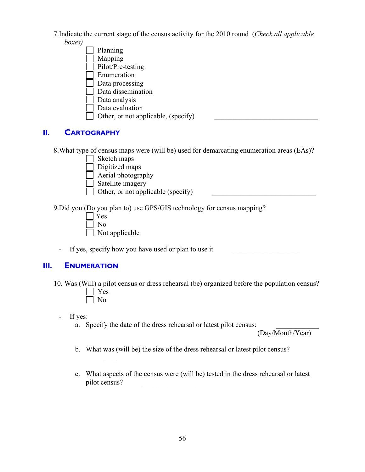7.Indicate the current stage of the census activity for the 2010 round (*Check all applicable boxes)*



# **II. CARTOGRAPHY**

8.What type of census maps were (will be) used for demarcating enumeration areas (EAs)?

Sketch maps

Digitized maps

Aerial photography

Satellite imagery

Other, or not applicable (specify)

9.Did you (Do you plan to) use GPS/GIS technology for census mapping?

 Yes No Not applicable

 $\mathcal{L}=\mathcal{L}=\mathcal{L}$ 

- If yes, specify how you have used or plan to use it

# **III. ENUMERATION**

10. Was (Will) a pilot census or dress rehearsal (be) organized before the population census? Yes No

- If yes:

a. Specify the date of the dress rehearsal or latest pilot census:

(Day/Month/Year)

- b. What was (will be) the size of the dress rehearsal or latest pilot census?
- c. What aspects of the census were (will be) tested in the dress rehearsal or latest pilot census? \_\_\_\_\_\_\_\_\_\_\_\_\_\_\_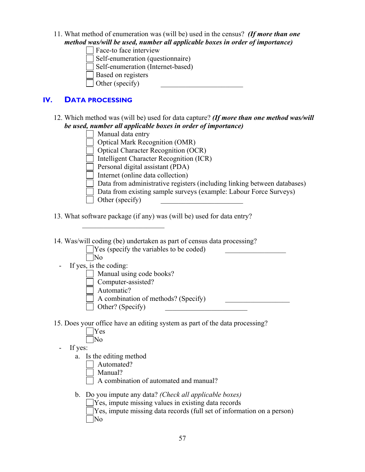- 11. What method of enumeration was (will be) used in the census? *(If more than one method was/will be used, number all applicable boxes in order of importance)*
	- Face-to face interview
	- Self-enumeration (questionnaire)
	- Self-enumeration (Internet-based)
	- Based on registers
	- $\Box$  Other (specify)

 $\mathcal{L}_\text{max}$  , we are the set of the set of the set of the set of the set of the set of the set of the set of the set of the set of the set of the set of the set of the set of the set of the set of the set of the set of

# **IV. DATA PROCESSING**

12. Which method was (will be) used for data capture? *(If more than one method was/will be used, number all applicable boxes in order of importance)*



- 13. What software package (if any) was (will be) used for data entry?
- 14. Was/will coding (be) undertaken as part of census data processing?

| $\Box$ Yes (specify the variables to be coded) |  |  |
|------------------------------------------------|--|--|
| No                                             |  |  |
| If yes, is the coding:                         |  |  |
| Manual using code books?                       |  |  |
| Computer-assisted?                             |  |  |
| Automatic?                                     |  |  |
| A combination of methods? (Specify)            |  |  |
| Other? (Specify)                               |  |  |

- 15. Does your office have an editing system as part of the data processing?
	- Yes No
	- If yes:
		- a. Is the editing method
			- Automated?
			- Manual?
				- A combination of automated and manual?
		- b. Do you impute any data? *(Check all applicable boxes)*
			- Yes, impute missing values in existing data records Yes, impute missing data records (full set of information on a person) No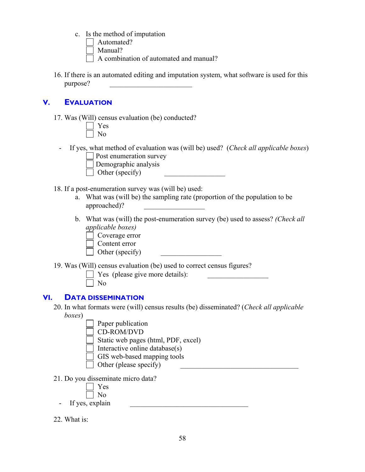- c. Is the method of imputation
	- | Automated?
	- Manual?
	- A combination of automated and manual?
- 16. If there is an automated editing and imputation system, what software is used for this purpose? \_\_\_\_\_\_\_\_\_\_\_\_\_\_\_\_\_\_\_\_\_\_\_

# **V. EVALUATION**

17. Was (Will) census evaluation (be) conducted?

- If yes, what method of evaluation was (will be) used? (*Check all applicable boxes*) Post enumeration survey



- 18. If a post-enumeration survey was (will be) used:
	- a. What was (will be) the sampling rate (proportion of the population to be approached)? \_\_\_\_\_\_\_\_\_\_\_\_\_\_\_\_\_
	- b. What was (will) the post-enumeration survey (be) used to assess? *(Check all applicable boxes)*
		- Coverage error
		- Content error
		- $\Box$  Other (specify)
- 19. Was (Will) census evaluation (be) used to correct census figures?
	- $\Box$  Yes (please give more details):

 $\exists$  No

# **VI. DATA DISSEMINATION**

- 20. In what formats were (will) census results (be) disseminated? (*Check all applicable boxes*)
	- Paper publication
	- CD-ROM/DVD
	- Static web pages (html, PDF, excel)
	- Interactive online database $(s)$
	- GIS web-based mapping tools
	- $\Box$  Other (please specify)
- 21. Do you disseminate micro data?



- If yes, explain
- 22. What is: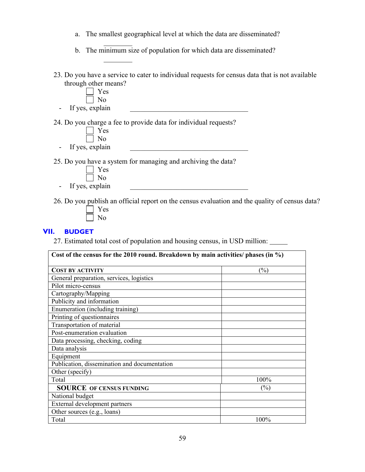- a. The smallest geographical level at which the data are disseminated?
- $\mathcal{L}=\mathcal{L}=\mathcal{L}=\mathcal{L}$ b. The minimum size of population for which data are disseminated?
- 23. Do you have a service to cater to individual requests for census data that is not available through other means?



 $\mathcal{L}_\text{max}$ 

No

- If yes, explain

25. Do you have a system for managing and archiving the data?



- If yes, explain

26. Do you publish an official report on the census evaluation and the quality of census data?

## **VII. BUDGET**

27. Estimated total cost of population and housing census, in USD million:

| Cost of the census for the 2010 round. Breakdown by main activities/ phases (in $\%$ ) |        |  |  |  |  |
|----------------------------------------------------------------------------------------|--------|--|--|--|--|
| <b>COST BY ACTIVITY</b>                                                                | (%)    |  |  |  |  |
| General preparation, services, logistics                                               |        |  |  |  |  |
| Pilot micro-census                                                                     |        |  |  |  |  |
| Cartography/Mapping                                                                    |        |  |  |  |  |
| Publicity and information                                                              |        |  |  |  |  |
| Enumeration (including training)                                                       |        |  |  |  |  |
| Printing of questionnaires                                                             |        |  |  |  |  |
| Transportation of material                                                             |        |  |  |  |  |
| Post-enumeration evaluation                                                            |        |  |  |  |  |
| Data processing, checking, coding                                                      |        |  |  |  |  |
| Data analysis                                                                          |        |  |  |  |  |
| Equipment                                                                              |        |  |  |  |  |
| Publication, dissemination and documentation                                           |        |  |  |  |  |
| Other (specify)                                                                        |        |  |  |  |  |
| Total                                                                                  | 100%   |  |  |  |  |
| <b>SOURCE OF CENSUS FUNDING</b>                                                        | $(\%)$ |  |  |  |  |
| National budget                                                                        |        |  |  |  |  |
| External development partners                                                          |        |  |  |  |  |
| Other sources (e.g., loans)                                                            |        |  |  |  |  |
| Total                                                                                  | 100%   |  |  |  |  |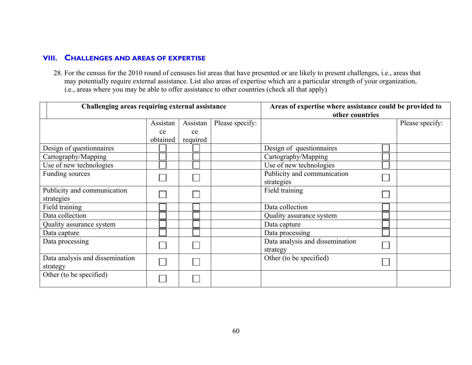## **VIII. CHALLENGES AND AREAS OF EXPERTISE**

28. For the census for the 2010 round of censuses list areas that have presented or are likely to present challenges, i.e., areas that may potentially require external assistance. List also areas of expertise which are a particular strength of your organization, i.e., areas where you may be able to offer assistance to other countries (check all that apply)

| Challenging areas requiring external assistance |          |          |                 | Areas of expertise where assistance could be provided to |                 |  |
|-------------------------------------------------|----------|----------|-----------------|----------------------------------------------------------|-----------------|--|
|                                                 |          |          | other countries |                                                          |                 |  |
|                                                 | Assistan | Assistan | Please specify: |                                                          | Please specify: |  |
|                                                 | ce       | ce       |                 |                                                          |                 |  |
|                                                 | obtained | required |                 |                                                          |                 |  |
| Design of questionnaires                        |          |          |                 | Design of questionnaires                                 |                 |  |
| Cartography/Mapping                             |          |          |                 | Cartography/Mapping                                      |                 |  |
| Use of new technologies                         |          |          |                 | Use of new technologies                                  |                 |  |
| Funding sources                                 |          |          |                 | Publicity and communication                              |                 |  |
|                                                 |          |          |                 | strategies                                               |                 |  |
| Publicity and communication                     |          |          |                 | Field training                                           |                 |  |
| strategies                                      |          |          |                 |                                                          |                 |  |
| Field training                                  |          |          |                 | Data collection                                          |                 |  |
| Data collection                                 |          |          |                 | Quality assurance system                                 |                 |  |
| Quality assurance system                        |          |          |                 | Data capture                                             |                 |  |
| Data capture                                    |          |          |                 | Data processing                                          |                 |  |
| Data processing                                 |          |          |                 | Data analysis and dissemination                          |                 |  |
|                                                 |          |          |                 | strategy                                                 |                 |  |
| Data analysis and dissemination                 |          |          |                 | Other (to be specified)                                  |                 |  |
| strategy                                        |          |          |                 |                                                          |                 |  |
| Other (to be specified)                         |          |          |                 |                                                          |                 |  |
|                                                 |          |          |                 |                                                          |                 |  |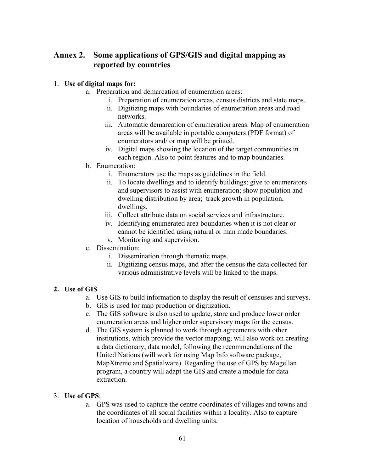# **Annex 2. Some applications of GPS/GIS and digital mapping as reported by countries**

## 1. **Use of digital maps for:**

- a. Preparation and demarcation of enumeration areas:
	- i. Preparation of enumeration areas, census districts and state maps.
	- ii. Digitizing maps with boundaries of enumeration areas and road networks.
	- iii. Automatic demarcation of enumeration areas. Map of enumeration areas will be available in portable computers (PDF format) of enumerators and/ or map will be printed.
	- iv. Digital maps showing the location of the target communities in each region. Also to point features and to map boundaries.
- b. Enumeration:
	- i. Enumerators use the maps as guidelines in the field.
	- ii. To locate dwellings and to identify buildings; give to enumerators and supervisors to assist with enumeration; show population and dwelling distribution by area; track growth in population, dwellings.
	- iii. Collect attribute data on social services and infrastructure.
	- iv. Identifying enumerated area boundaries when it is not clear or cannot be identified using natural or man made boundaries.
	- v. Monitoring and supervision.
- c. Dissemination:
	- i. Dissemination through thematic maps.
	- ii. Digitizing census maps, and after the census the data collected for various administrative levels will be linked to the maps.

# **2. Use of GIS**

- a. Use GIS to build information to display the result of censuses and surveys.
- b. GIS is used for map production or digitization.
- c. The GIS software is also used to update, store and produce lower order enumeration areas and higher order supervisory maps for the census.
- d. The GIS system is planned to work through agreements with other institutions, which provide the vector mapping; will also work on creating a data dictionary, data model, following the recommendations of the United Nations (will work for using Map Info software package, MapXtreme and Spatialware). Regarding the use of GPS by Magellan program, a country will adapt the GIS and create a module for data extraction.

# 3. **Use of GPS**:

a. GPS was used to capture the centre coordinates of villages and towns and the coordinates of all social facilities within a locality. Also to capture location of households and dwelling units.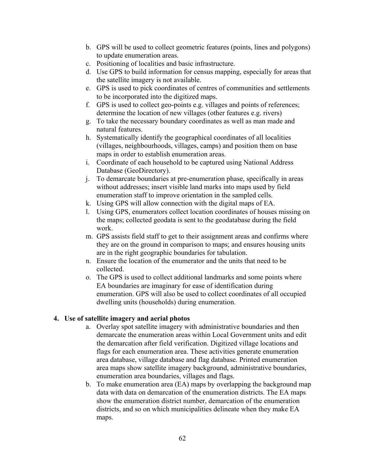- b. GPS will be used to collect geometric features (points, lines and polygons) to update enumeration areas.
- c. Positioning of localities and basic infrastructure.
- d. Use GPS to build information for census mapping, especially for areas that the satellite imagery is not available.
- e. GPS is used to pick coordinates of centres of communities and settlements to be incorporated into the digitized maps.
- f. GPS is used to collect geo-points e.g. villages and points of references; determine the location of new villages (other features e.g. rivers)
- g. To take the necessary boundary coordinates as well as man made and natural features.
- h. Systematically identify the geographical coordinates of all localities (villages, neighbourhoods, villages, camps) and position them on base maps in order to establish enumeration areas.
- i. Coordinate of each household to be captured using National Address Database (GeoDirectory).
- j. To demarcate boundaries at pre-enumeration phase, specifically in areas without addresses; insert visible land marks into maps used by field enumeration staff to improve orientation in the sampled cells.
- k. Using GPS will allow connection with the digital maps of EA.
- l. Using GPS, enumerators collect location coordinates of houses missing on the maps; collected geodata is sent to the geodatabase during the field work.
- m. GPS assists field staff to get to their assignment areas and confirms where they are on the ground in comparison to maps; and ensures housing units are in the right geographic boundaries for tabulation.
- n. Ensure the location of the enumerator and the units that need to be collected.
- o. The GPS is used to collect additional landmarks and some points where EA boundaries are imaginary for ease of identification during enumeration. GPS will also be used to collect coordinates of all occupied dwelling units (households) during enumeration.

#### **4. Use of satellite imagery and aerial photos**

- a. Overlay spot satellite imagery with administrative boundaries and then demarcate the enumeration areas within Local Government units and edit the demarcation after field verification. Digitized village locations and flags for each enumeration area. These activities generate enumeration area database, village database and flag database. Printed enumeration area maps show satellite imagery background, administrative boundaries, enumeration area boundaries, villages and flags.
- b. To make enumeration area (EA) maps by overlapping the background map data with data on demarcation of the enumeration districts. The EA maps show the enumeration district number, demarcation of the enumeration districts, and so on which municipalities delineate when they make EA maps.